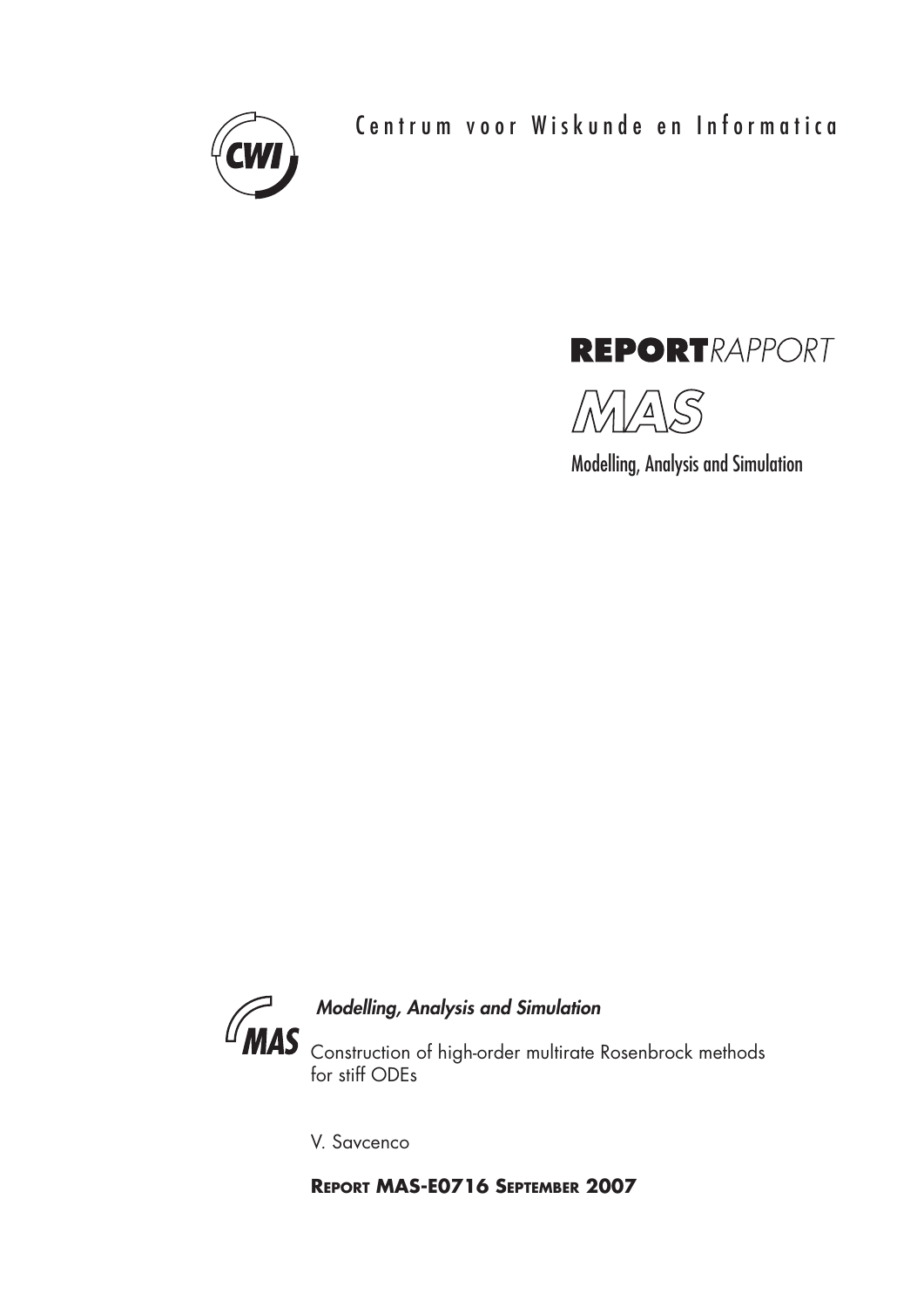

Centrum voor Wiskunde en Informatica



MAS

Modelling, Analysis and Simulation



## *Modelling, Analysis and Simulation*

Construction of high-order multirate Rosenbrock methods for stiff ODEs

V. Savcenco

**REPORT MAS-E0716 SEPTEMBER 2007**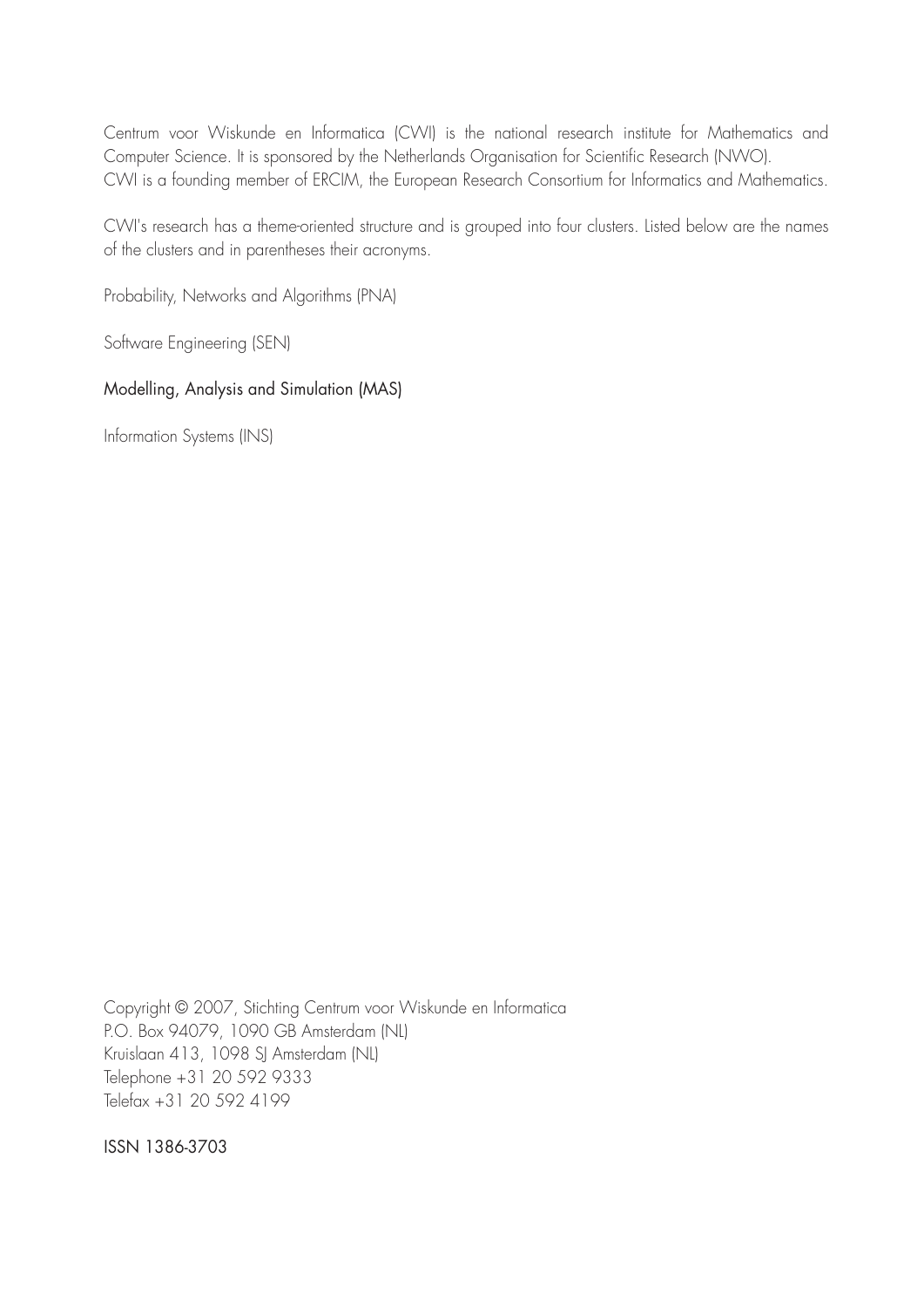Centrum voor Wiskunde en Informatica (CWI) is the national research institute for Mathematics and Computer Science. It is sponsored by the Netherlands Organisation for Scientific Research (NWO). CWI is a founding member of ERCIM, the European Research Consortium for Informatics and Mathematics.

CWI's research has a theme-oriented structure and is grouped into four clusters. Listed below are the names of the clusters and in parentheses their acronyms.

Probability, Networks and Algorithms (PNA)

Software Engineering (SEN)

## Modelling, Analysis and Simulation (MAS)

Information Systems (INS)

Copyright © 2007, Stichting Centrum voor Wiskunde en Informatica P.O. Box 94079, 1090 GB Amsterdam (NL) Kruislaan 413, 1098 SJ Amsterdam (NL) Telephone +31 20 592 9333 Telefax +31 20 592 4199

ISSN 1386-3703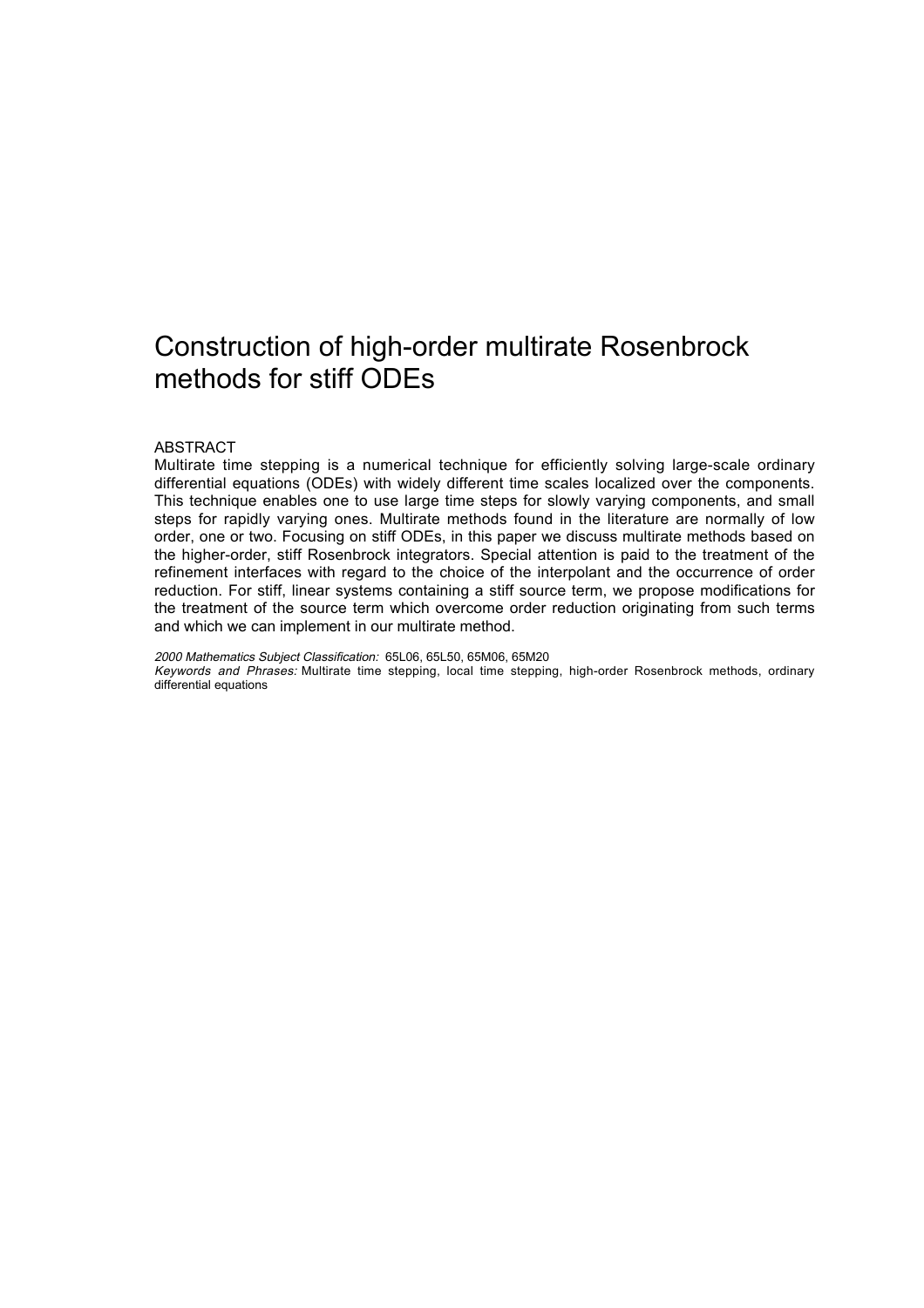# Construction of high-order multirate Rosenbrock methods for stiff ODEs

#### ABSTRACT

Multirate time stepping is a numerical technique for efficiently solving large-scale ordinary differential equations (ODEs) with widely different time scales localized over the components. This technique enables one to use large time steps for slowly varying components, and small steps for rapidly varying ones. Multirate methods found in the literature are normally of low order, one or two. Focusing on stiff ODEs, in this paper we discuss multirate methods based on the higher-order, stiff Rosenbrock integrators. Special attention is paid to the treatment of the refinement interfaces with regard to the choice of the interpolant and the occurrence of order reduction. For stiff, linear systems containing a stiff source term, we propose modifications for the treatment of the source term which overcome order reduction originating from such terms and which we can implement in our multirate method.

2000 Mathematics Subject Classification: 65L06, 65L50, 65M06, 65M20 Keywords and Phrases: Multirate time stepping, local time stepping, high-order Rosenbrock methods, ordinary differential equations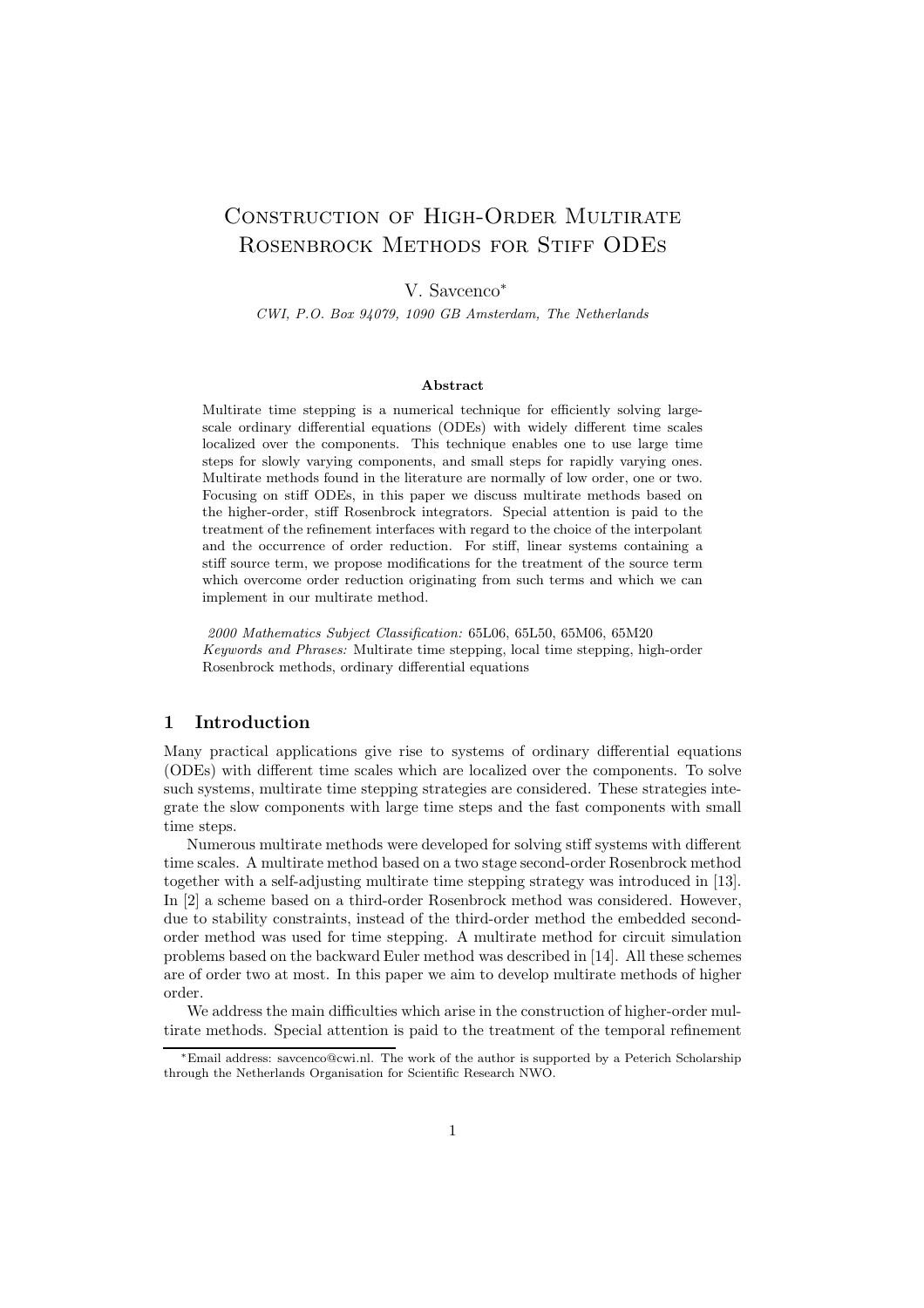## Construction of High-Order Multirate ROSENBROCK METHODS FOR STIFF ODES

## V. Savcenco<sup>∗</sup>

CWI, P.O. Box 94079, 1090 GB Amsterdam, The Netherlands

#### Abstract

Multirate time stepping is a numerical technique for efficiently solving largescale ordinary differential equations (ODEs) with widely different time scales localized over the components. This technique enables one to use large time steps for slowly varying components, and small steps for rapidly varying ones. Multirate methods found in the literature are normally of low order, one or two. Focusing on stiff ODEs, in this paper we discuss multirate methods based on the higher-order, stiff Rosenbrock integrators. Special attention is paid to the treatment of the refinement interfaces with regard to the choice of the interpolant and the occurrence of order reduction. For stiff, linear systems containing a stiff source term, we propose modifications for the treatment of the source term which overcome order reduction originating from such terms and which we can implement in our multirate method.

2000 Mathematics Subject Classification: 65L06, 65L50, 65M06, 65M20 Keywords and Phrases: Multirate time stepping, local time stepping, high-order Rosenbrock methods, ordinary differential equations

## 1 Introduction

Many practical applications give rise to systems of ordinary differential equations (ODEs) with different time scales which are localized over the components. To solve such systems, multirate time stepping strategies are considered. These strategies integrate the slow components with large time steps and the fast components with small time steps.

Numerous multirate methods were developed for solving stiff systems with different time scales. A multirate method based on a two stage second-order Rosenbrock method together with a self-adjusting multirate time stepping strategy was introduced in [13]. In [2] a scheme based on a third-order Rosenbrock method was considered. However, due to stability constraints, instead of the third-order method the embedded secondorder method was used for time stepping. A multirate method for circuit simulation problems based on the backward Euler method was described in [14]. All these schemes are of order two at most. In this paper we aim to develop multirate methods of higher order.

We address the main difficulties which arise in the construction of higher-order multirate methods. Special attention is paid to the treatment of the temporal refinement

<sup>∗</sup>Email address: savcenco@cwi.nl. The work of the author is supported by a Peterich Scholarship through the Netherlands Organisation for Scientific Research NWO.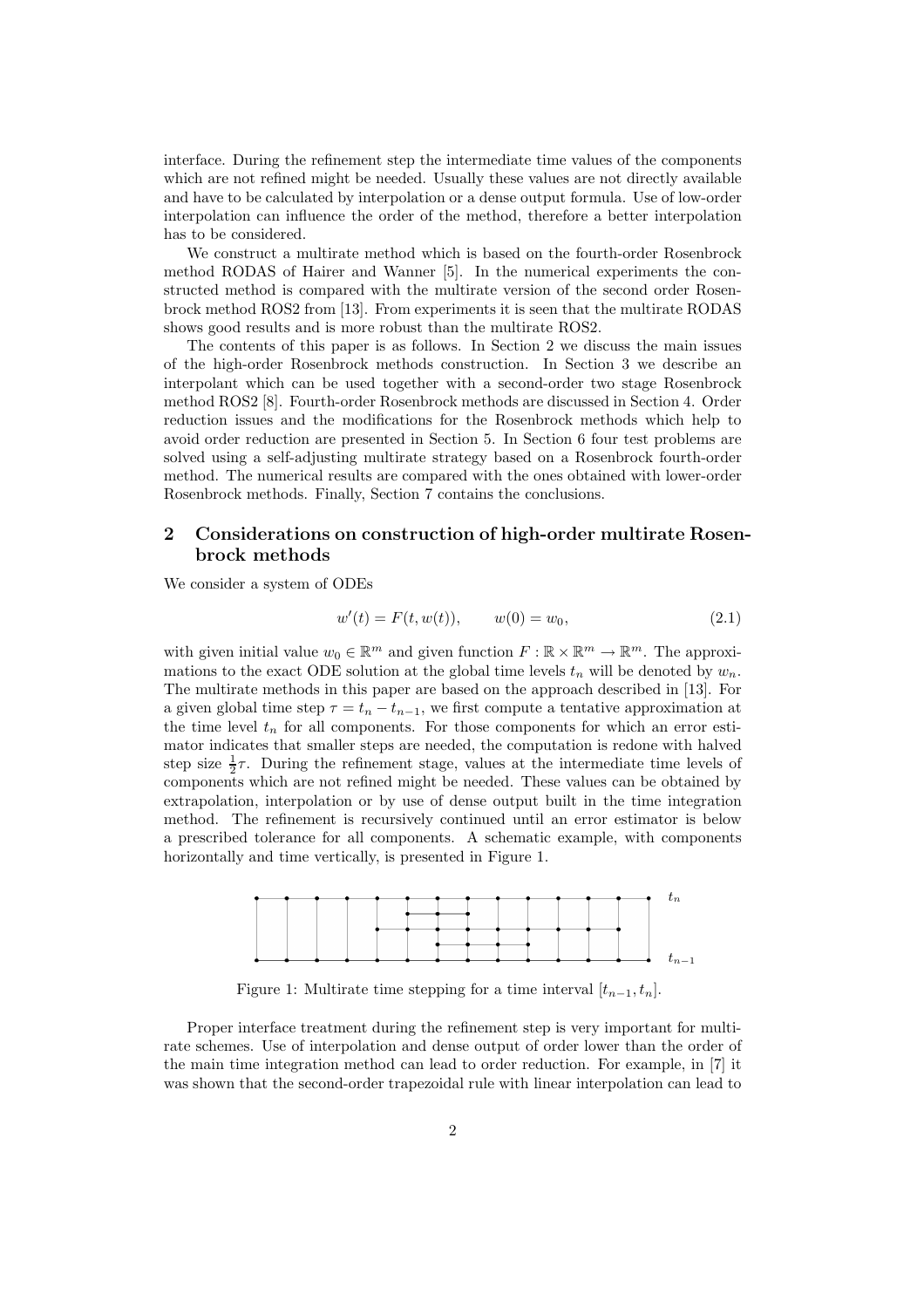interface. During the refinement step the intermediate time values of the components which are not refined might be needed. Usually these values are not directly available and have to be calculated by interpolation or a dense output formula. Use of low-order interpolation can influence the order of the method, therefore a better interpolation has to be considered.

We construct a multirate method which is based on the fourth-order Rosenbrock method RODAS of Hairer and Wanner [5]. In the numerical experiments the constructed method is compared with the multirate version of the second order Rosenbrock method ROS2 from [13]. From experiments it is seen that the multirate RODAS shows good results and is more robust than the multirate ROS2.

The contents of this paper is as follows. In Section 2 we discuss the main issues of the high-order Rosenbrock methods construction. In Section 3 we describe an interpolant which can be used together with a second-order two stage Rosenbrock method ROS2 [8]. Fourth-order Rosenbrock methods are discussed in Section 4. Order reduction issues and the modifications for the Rosenbrock methods which help to avoid order reduction are presented in Section 5. In Section 6 four test problems are solved using a self-adjusting multirate strategy based on a Rosenbrock fourth-order method. The numerical results are compared with the ones obtained with lower-order Rosenbrock methods. Finally, Section 7 contains the conclusions.

## 2 Considerations on construction of high-order multirate Rosenbrock methods

We consider a system of ODEs

$$
w'(t) = F(t, w(t)), \qquad w(0) = w_0,
$$
\n(2.1)

with given initial value  $w_0 \in \mathbb{R}^m$  and given function  $F : \mathbb{R} \times \mathbb{R}^m \to \mathbb{R}^m$ . The approximations to the exact ODE solution at the global time levels  $t_n$  will be denoted by  $w_n$ . The multirate methods in this paper are based on the approach described in [13]. For a given global time step  $\tau = t_n - t_{n-1}$ , we first compute a tentative approximation at the time level  $t_n$  for all components. For those components for which an error estimator indicates that smaller steps are needed, the computation is redone with halved step size  $\frac{1}{2}\tau$ . During the refinement stage, values at the intermediate time levels of components which are not refined might be needed. These values can be obtained by extrapolation, interpolation or by use of dense output built in the time integration method. The refinement is recursively continued until an error estimator is below a prescribed tolerance for all components. A schematic example, with components horizontally and time vertically, is presented in Figure 1.



Figure 1: Multirate time stepping for a time interval  $[t_{n-1}, t_n]$ .

Proper interface treatment during the refinement step is very important for multirate schemes. Use of interpolation and dense output of order lower than the order of the main time integration method can lead to order reduction. For example, in [7] it was shown that the second-order trapezoidal rule with linear interpolation can lead to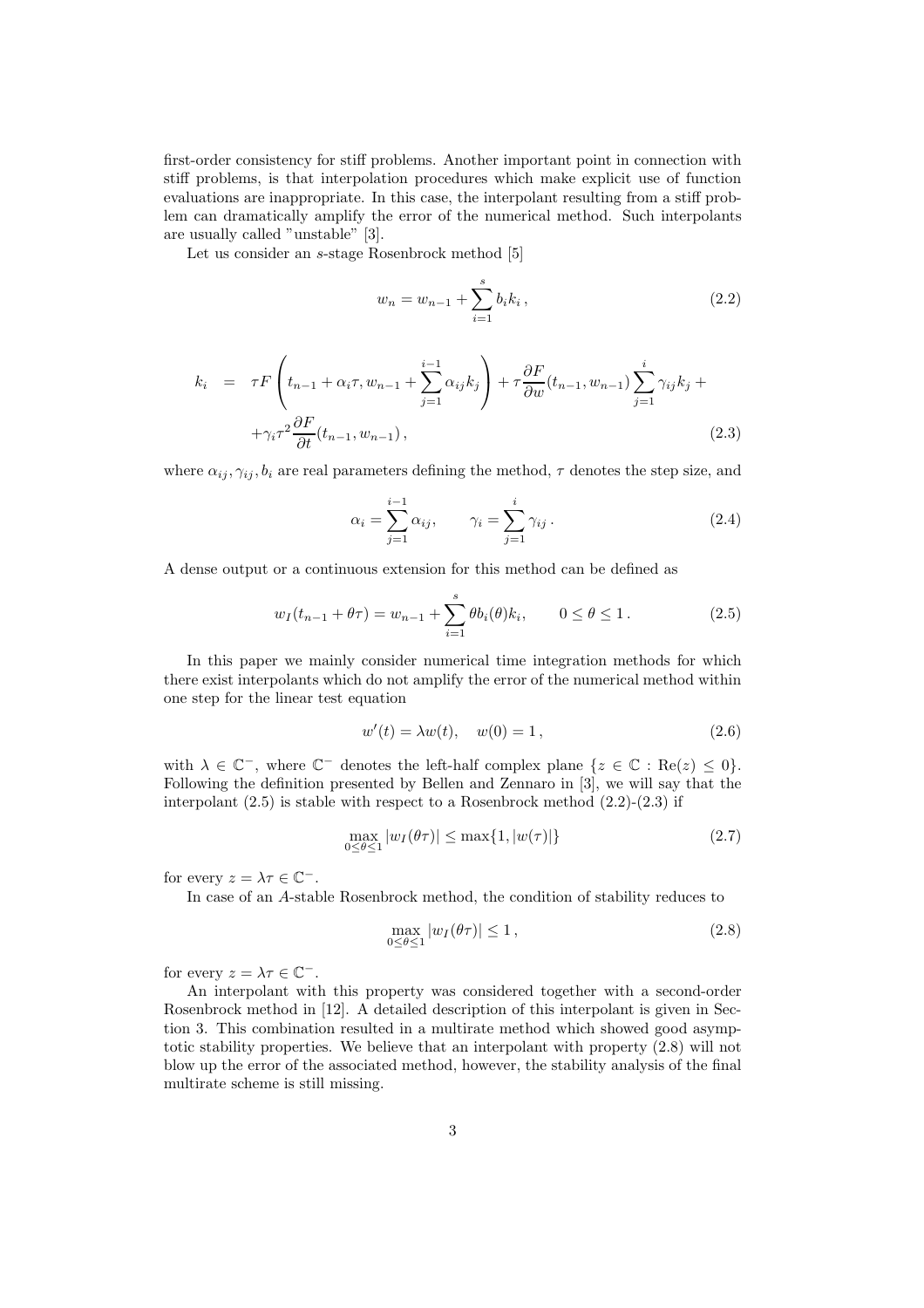first-order consistency for stiff problems. Another important point in connection with stiff problems, is that interpolation procedures which make explicit use of function evaluations are inappropriate. In this case, the interpolant resulting from a stiff problem can dramatically amplify the error of the numerical method. Such interpolants are usually called "unstable" [3].

Let us consider an s-stage Rosenbrock method [5]

$$
w_n = w_{n-1} + \sum_{i=1}^{s} b_i k_i , \qquad (2.2)
$$

$$
k_{i} = \tau F\left(t_{n-1} + \alpha_{i}\tau, w_{n-1} + \sum_{j=1}^{i-1} \alpha_{ij} k_{j}\right) + \tau \frac{\partial F}{\partial w}(t_{n-1}, w_{n-1}) \sum_{j=1}^{i} \gamma_{ij} k_{j} + + \gamma_{i} \tau^{2} \frac{\partial F}{\partial t}(t_{n-1}, w_{n-1}),
$$
\n(2.3)

where  $\alpha_{ij}, \gamma_{ij}, b_i$  are real parameters defining the method,  $\tau$  denotes the step size, and

$$
\alpha_i = \sum_{j=1}^{i-1} \alpha_{ij}, \qquad \gamma_i = \sum_{j=1}^{i} \gamma_{ij}.
$$
\n(2.4)

A dense output or a continuous extension for this method can be defined as

$$
w_I(t_{n-1} + \theta \tau) = w_{n-1} + \sum_{i=1}^s \theta b_i(\theta) k_i, \qquad 0 \le \theta \le 1.
$$
 (2.5)

In this paper we mainly consider numerical time integration methods for which there exist interpolants which do not amplify the error of the numerical method within one step for the linear test equation

$$
w'(t) = \lambda w(t), \quad w(0) = 1,
$$
\n(2.6)

with  $\lambda \in \mathbb{C}^-$ , where  $\mathbb{C}^-$  denotes the left-half complex plane  $\{z \in \mathbb{C} : \text{Re}(z) \leq 0\}.$ Following the definition presented by Bellen and Zennaro in [3], we will say that the interpolant  $(2.5)$  is stable with respect to a Rosenbrock method  $(2.2)$ - $(2.3)$  if

$$
\max_{0 \le \theta \le 1} |w_I(\theta \tau)| \le \max\{1, |w(\tau)|\} \tag{2.7}
$$

for every  $z = \lambda \tau \in \mathbb{C}^-$ .

In case of an A-stable Rosenbrock method, the condition of stability reduces to

$$
\max_{0 \le \theta \le 1} |w_I(\theta \tau)| \le 1, \tag{2.8}
$$

for every  $z = \lambda \tau \in \mathbb{C}^-$ .

An interpolant with this property was considered together with a second-order Rosenbrock method in [12]. A detailed description of this interpolant is given in Section 3. This combination resulted in a multirate method which showed good asymptotic stability properties. We believe that an interpolant with property (2.8) will not blow up the error of the associated method, however, the stability analysis of the final multirate scheme is still missing.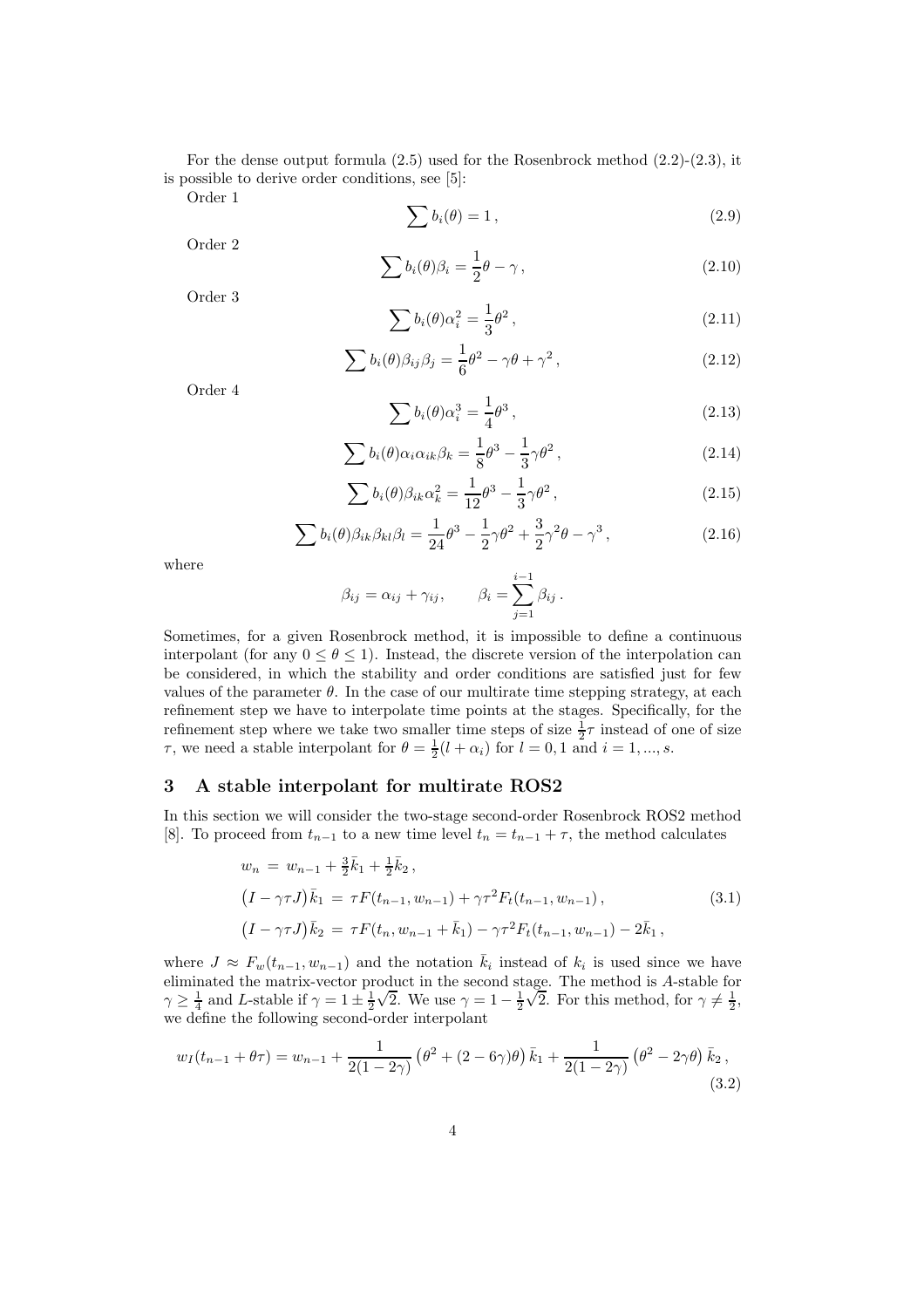For the dense output formula  $(2.5)$  used for the Rosenbrock method  $(2.2)-(2.3)$ , it is possible to derive order conditions, see [5]:

Order 1

$$
\sum b_i(\theta) = 1, \qquad (2.9)
$$

Order 2

$$
\sum b_i(\theta)\beta_i = \frac{1}{2}\theta - \gamma\,,\tag{2.10}
$$

Order 3

$$
\sum b_i(\theta)\alpha_i^2 = \frac{1}{3}\theta^2\,,\tag{2.11}
$$

$$
\sum b_i(\theta)\beta_{ij}\beta_j = \frac{1}{6}\theta^2 - \gamma\theta + \gamma^2, \qquad (2.12)
$$

Order 4

$$
\sum b_i(\theta)\alpha_i^3 = \frac{1}{4}\theta^3\,,\tag{2.13}
$$

$$
\sum b_i(\theta) \alpha_i \alpha_{ik} \beta_k = \frac{1}{8} \theta^3 - \frac{1}{3} \gamma \theta^2, \qquad (2.14)
$$

$$
\sum b_i(\theta)\beta_{ik}\alpha_k^2 = \frac{1}{12}\theta^3 - \frac{1}{3}\gamma\theta^2,
$$
\n(2.15)

$$
\sum b_i(\theta)\beta_{ik}\beta_{kl}\beta_l = \frac{1}{24}\theta^3 - \frac{1}{2}\gamma\theta^2 + \frac{3}{2}\gamma^2\theta - \gamma^3,
$$
\n(2.16)

where

$$
\beta_{ij} = \alpha_{ij} + \gamma_{ij}, \qquad \beta_i = \sum_{j=1}^{i-1} \beta_{ij}.
$$

Sometimes, for a given Rosenbrock method, it is impossible to define a continuous interpolant (for any  $0 \le \theta \le 1$ ). Instead, the discrete version of the interpolation can be considered, in which the stability and order conditions are satisfied just for few values of the parameter  $\theta$ . In the case of our multirate time stepping strategy, at each refinement step we have to interpolate time points at the stages. Specifically, for the refinement step where we take two smaller time steps of size  $\frac{1}{2}\tau$  instead of one of size  $\tau$ , we need a stable interpolant for  $\theta = \frac{1}{2}(l + \alpha_i)$  for  $l = 0, 1$  and  $i = 1, ..., s$ .

## 3 A stable interpolant for multirate ROS2

In this section we will consider the two-stage second-order Rosenbrock ROS2 method [8]. To proceed from  $t_{n-1}$  to a new time level  $t_n = t_{n-1} + \tau$ , the method calculates

$$
w_n = w_{n-1} + \frac{3}{2}\bar{k}_1 + \frac{1}{2}\bar{k}_2,
$$
  
\n
$$
(I - \gamma \tau J)\bar{k}_1 = \tau F(t_{n-1}, w_{n-1}) + \gamma \tau^2 F_t(t_{n-1}, w_{n-1}),
$$
  
\n
$$
(I - \gamma \tau J)\bar{k}_2 = \tau F(t_n, w_{n-1} + \bar{k}_1) - \gamma \tau^2 F_t(t_{n-1}, w_{n-1}) - 2\bar{k}_1,
$$
\n(3.1)

where  $J \approx F_w(t_{n-1}, w_{n-1})$  and the notation  $\bar{k}_i$  instead of  $k_i$  is used since we have eliminated the matrix-vector product in the second stage. The method is A-stable for  $\gamma \ge \frac{1}{4}$  and L-stable if  $\gamma = 1 \pm \frac{1}{2}\sqrt{2}$ . We use  $\gamma = 1 - \frac{1}{2}\sqrt{2}$ . For this method, for  $\gamma \ne \frac{1}{2}$ , we define the following second-order interpolant

$$
w_I(t_{n-1} + \theta \tau) = w_{n-1} + \frac{1}{2(1 - 2\gamma)} \left( \theta^2 + (2 - 6\gamma)\theta \right) \bar{k}_1 + \frac{1}{2(1 - 2\gamma)} \left( \theta^2 - 2\gamma\theta \right) \bar{k}_2,
$$
\n(3.2)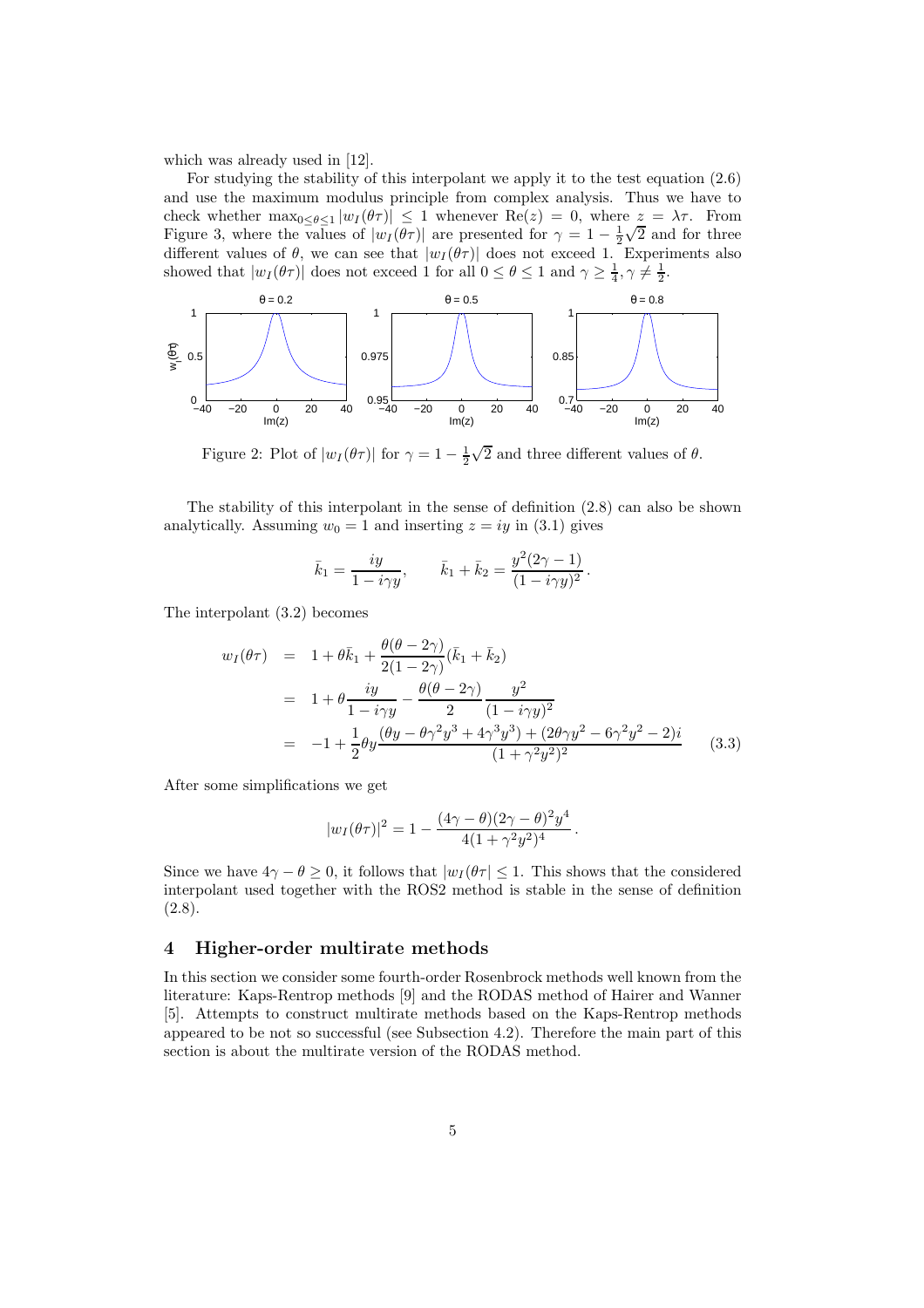which was already used in [12].

For studying the stability of this interpolant we apply it to the test equation (2.6) and use the maximum modulus principle from complex analysis. Thus we have to check whether  $\max_{0 \leq \theta \leq 1} |w_I(\theta \tau)| \leq 1$  whenever  $\text{Re}(z) = 0$ , where  $z = \lambda \tau$ . From Figure 3, where the values of  $|w_I(\theta\tau)|$  are presented for  $\gamma = 1 - \frac{1}{2}\sqrt{2}$  and for three different values of  $\theta$ , we can see that  $|w_I(\theta\tau)|$  does not exceed 1. Experiments also showed that  $|w_I(\theta \tau)|$  does not exceed 1 for all  $0 \le \theta \le 1$  and  $\gamma \ge \frac{1}{4}, \gamma \ne \frac{1}{2}$ .



Figure 2: Plot of  $|w_I(\theta \tau)|$  for  $\gamma = 1 - \frac{1}{2}\sqrt{2}$  and three different values of  $\theta$ .

The stability of this interpolant in the sense of definition (2.8) can also be shown analytically. Assuming  $w_0 = 1$  and inserting  $z = iy$  in (3.1) gives

$$
\bar{k}_1 = \frac{iy}{1 - i\gamma y},
$$
\n $\bar{k}_1 + \bar{k}_2 = \frac{y^2(2\gamma - 1)}{(1 - i\gamma y)^2}.$ 

The interpolant (3.2) becomes

$$
w_I(\theta \tau) = 1 + \theta \bar{k}_1 + \frac{\theta(\theta - 2\gamma)}{2(1 - 2\gamma)} (\bar{k}_1 + \bar{k}_2)
$$
  
= 
$$
1 + \theta \frac{iy}{1 - i\gamma y} - \frac{\theta(\theta - 2\gamma)}{2} \frac{y^2}{(1 - i\gamma y)^2}
$$
  
= 
$$
-1 + \frac{1}{2} \theta y \frac{(\theta y - \theta \gamma^2 y^3 + 4\gamma^3 y^3) + (2\theta \gamma y^2 - 6\gamma^2 y^2 - 2)i}{(1 + \gamma^2 y^2)^2}
$$
(3.3)

After some simplifications we get

$$
|w_I(\theta \tau)|^2 = 1 - \frac{(4\gamma - \theta)(2\gamma - \theta)^2 y^4}{4(1 + \gamma^2 y^2)^4}.
$$

Since we have  $4\gamma - \theta \geq 0$ , it follows that  $|w_I(\theta\tau)| \leq 1$ . This shows that the considered interpolant used together with the ROS2 method is stable in the sense of definition  $(2.8).$ 

## 4 Higher-order multirate methods

In this section we consider some fourth-order Rosenbrock methods well known from the literature: Kaps-Rentrop methods [9] and the RODAS method of Hairer and Wanner [5]. Attempts to construct multirate methods based on the Kaps-Rentrop methods appeared to be not so successful (see Subsection 4.2). Therefore the main part of this section is about the multirate version of the RODAS method.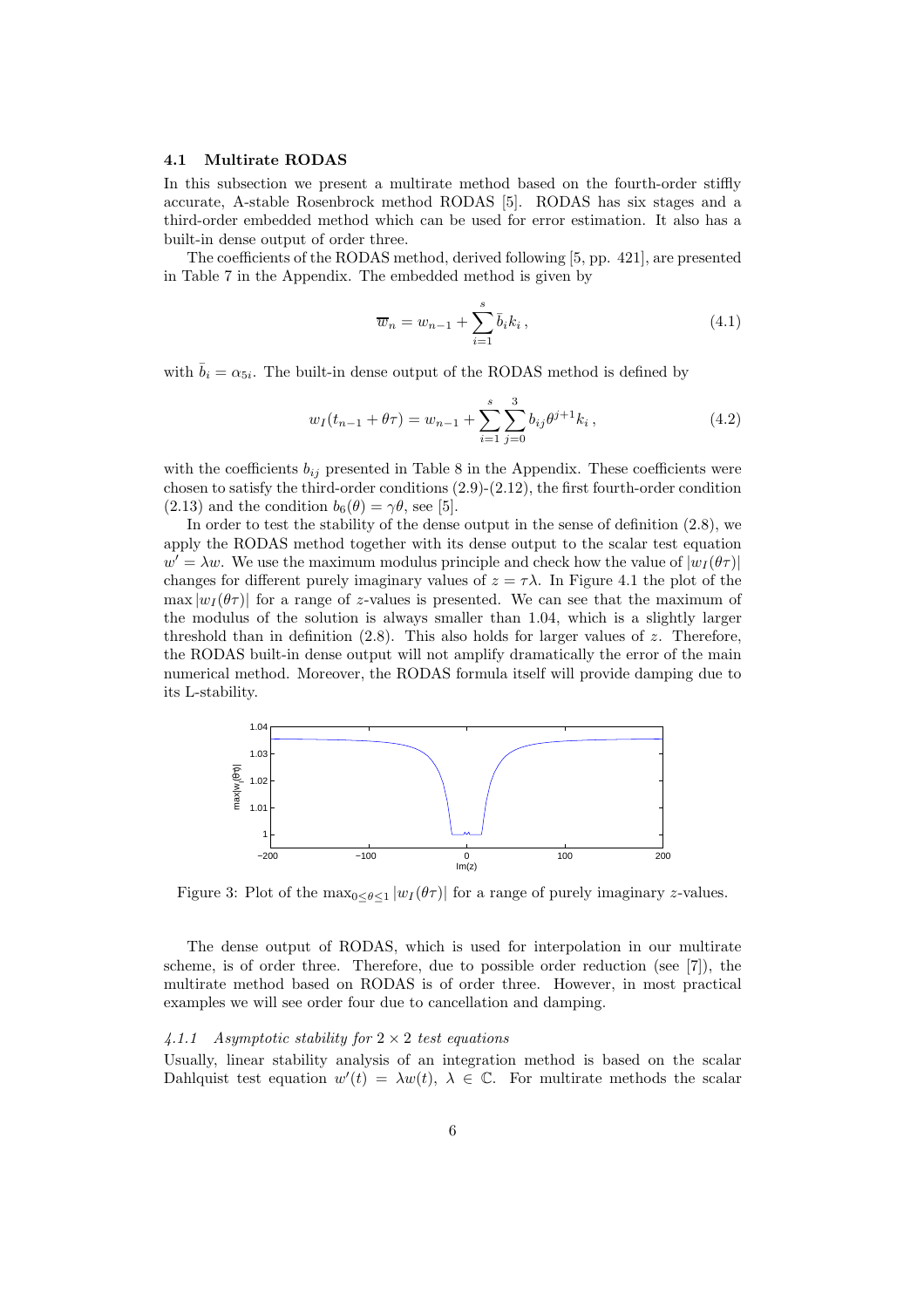#### 4.1 Multirate RODAS

In this subsection we present a multirate method based on the fourth-order stiffly accurate, A-stable Rosenbrock method RODAS [5]. RODAS has six stages and a third-order embedded method which can be used for error estimation. It also has a built-in dense output of order three.

The coefficients of the RODAS method, derived following [5, pp. 421], are presented in Table 7 in the Appendix. The embedded method is given by

$$
\overline{w}_n = w_{n-1} + \sum_{i=1}^{s} \overline{b}_i k_i, \qquad (4.1)
$$

with  $\bar{b}_i = \alpha_{5i}$ . The built-in dense output of the RODAS method is defined by

$$
w_I(t_{n-1} + \theta \tau) = w_{n-1} + \sum_{i=1}^s \sum_{j=0}^3 b_{ij} \theta^{j+1} k_i, \qquad (4.2)
$$

with the coefficients  $b_{ij}$  presented in Table 8 in the Appendix. These coefficients were chosen to satisfy the third-order conditions (2.9)-(2.12), the first fourth-order condition (2.13) and the condition  $b_6(\theta) = \gamma \theta$ , see [5].

In order to test the stability of the dense output in the sense of definition (2.8), we apply the RODAS method together with its dense output to the scalar test equation  $w' = \lambda w$ . We use the maximum modulus principle and check how the value of  $|w_I(\theta \tau)|$ changes for different purely imaginary values of  $z = \tau \lambda$ . In Figure 4.1 the plot of the max  $|w_I(\theta\tau)|$  for a range of z-values is presented. We can see that the maximum of the modulus of the solution is always smaller than 1.04, which is a slightly larger threshold than in definition (2.8). This also holds for larger values of z. Therefore, the RODAS built-in dense output will not amplify dramatically the error of the main numerical method. Moreover, the RODAS formula itself will provide damping due to its L-stability.



Figure 3: Plot of the  $\max_{0 \leq \theta \leq 1} |w_I(\theta) \rangle$  for a range of purely imaginary z-values.

The dense output of RODAS, which is used for interpolation in our multirate scheme, is of order three. Therefore, due to possible order reduction (see [7]), the multirate method based on RODAS is of order three. However, in most practical examples we will see order four due to cancellation and damping.

## 4.1.1 Asymptotic stability for  $2 \times 2$  test equations

Usually, linear stability analysis of an integration method is based on the scalar Dahlquist test equation  $w'(t) = \lambda w(t)$ ,  $\lambda \in \mathbb{C}$ . For multirate methods the scalar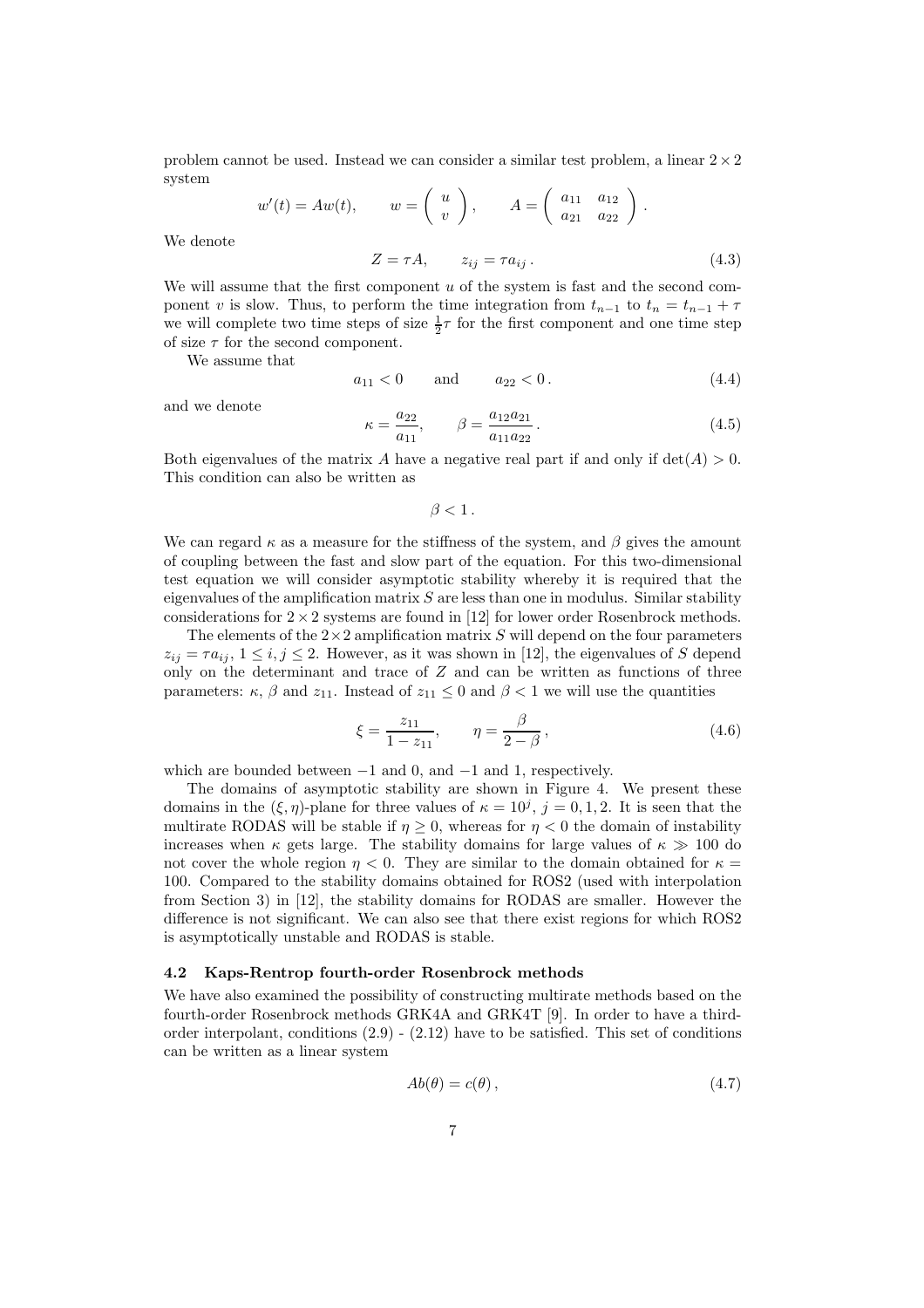problem cannot be used. Instead we can consider a similar test problem, a linear  $2 \times 2$ system

> $w'(t) = Aw(t), \qquad w = \begin{pmatrix} u \\ u \end{pmatrix}$  $\overline{v}$  $\bigg), \qquad A = \left( \begin{array}{cc} a_{11} & a_{12} \\ a_{21} & a_{22} \end{array} \right).$

We denote

$$
Z = \tau A, \qquad z_{ij} = \tau a_{ij} \,. \tag{4.3}
$$

We will assume that the first component  $u$  of the system is fast and the second component v is slow. Thus, to perform the time integration from  $t_{n-1}$  to  $t_n = t_{n-1} + \tau$ we will complete two time steps of size  $\frac{1}{2}\tau$  for the first component and one time step of size  $\tau$  for the second component.

We assume that

$$
a_{11} < 0 \qquad \text{and} \qquad a_{22} < 0. \tag{4.4}
$$

and we denote

$$
\kappa = \frac{a_{22}}{a_{11}}, \qquad \beta = \frac{a_{12}a_{21}}{a_{11}a_{22}}.
$$
\n(4.5)

Both eigenvalues of the matrix A have a negative real part if and only if  $det(A) > 0$ . This condition can also be written as

 $\beta < 1$ .

We can regard  $\kappa$  as a measure for the stiffness of the system, and  $\beta$  gives the amount of coupling between the fast and slow part of the equation. For this two-dimensional test equation we will consider asymptotic stability whereby it is required that the eigenvalues of the amplification matrix  $S$  are less than one in modulus. Similar stability considerations for  $2 \times 2$  systems are found in [12] for lower order Rosenbrock methods.

The elements of the  $2\times 2$  amplification matrix S will depend on the four parameters  $z_{ij} = \tau a_{ij}, 1 \leq i, j \leq 2$ . However, as it was shown in [12], the eigenvalues of S depend only on the determinant and trace of Z and can be written as functions of three parameters:  $\kappa$ ,  $\beta$  and  $z_{11}$ . Instead of  $z_{11} \leq 0$  and  $\beta < 1$  we will use the quantities

$$
\xi = \frac{z_{11}}{1 - z_{11}}, \qquad \eta = \frac{\beta}{2 - \beta}, \qquad (4.6)
$$

which are bounded between  $-1$  and  $0$ , and  $-1$  and  $1$ , respectively.

The domains of asymptotic stability are shown in Figure 4. We present these domains in the  $(\xi, \eta)$ -plane for three values of  $\kappa = 10^j$ ,  $j = 0, 1, 2$ . It is seen that the multirate RODAS will be stable if  $\eta > 0$ , whereas for  $\eta < 0$  the domain of instability increases when  $\kappa$  gets large. The stability domains for large values of  $\kappa \gg 100$  do not cover the whole region  $\eta < 0$ . They are similar to the domain obtained for  $\kappa =$ 100. Compared to the stability domains obtained for ROS2 (used with interpolation from Section 3) in [12], the stability domains for RODAS are smaller. However the difference is not significant. We can also see that there exist regions for which ROS2 is asymptotically unstable and RODAS is stable.

#### 4.2 Kaps-Rentrop fourth-order Rosenbrock methods

We have also examined the possibility of constructing multirate methods based on the fourth-order Rosenbrock methods GRK4A and GRK4T [9]. In order to have a thirdorder interpolant, conditions  $(2.9)$  -  $(2.12)$  have to be satisfied. This set of conditions can be written as a linear system

$$
Ab(\theta) = c(\theta), \tag{4.7}
$$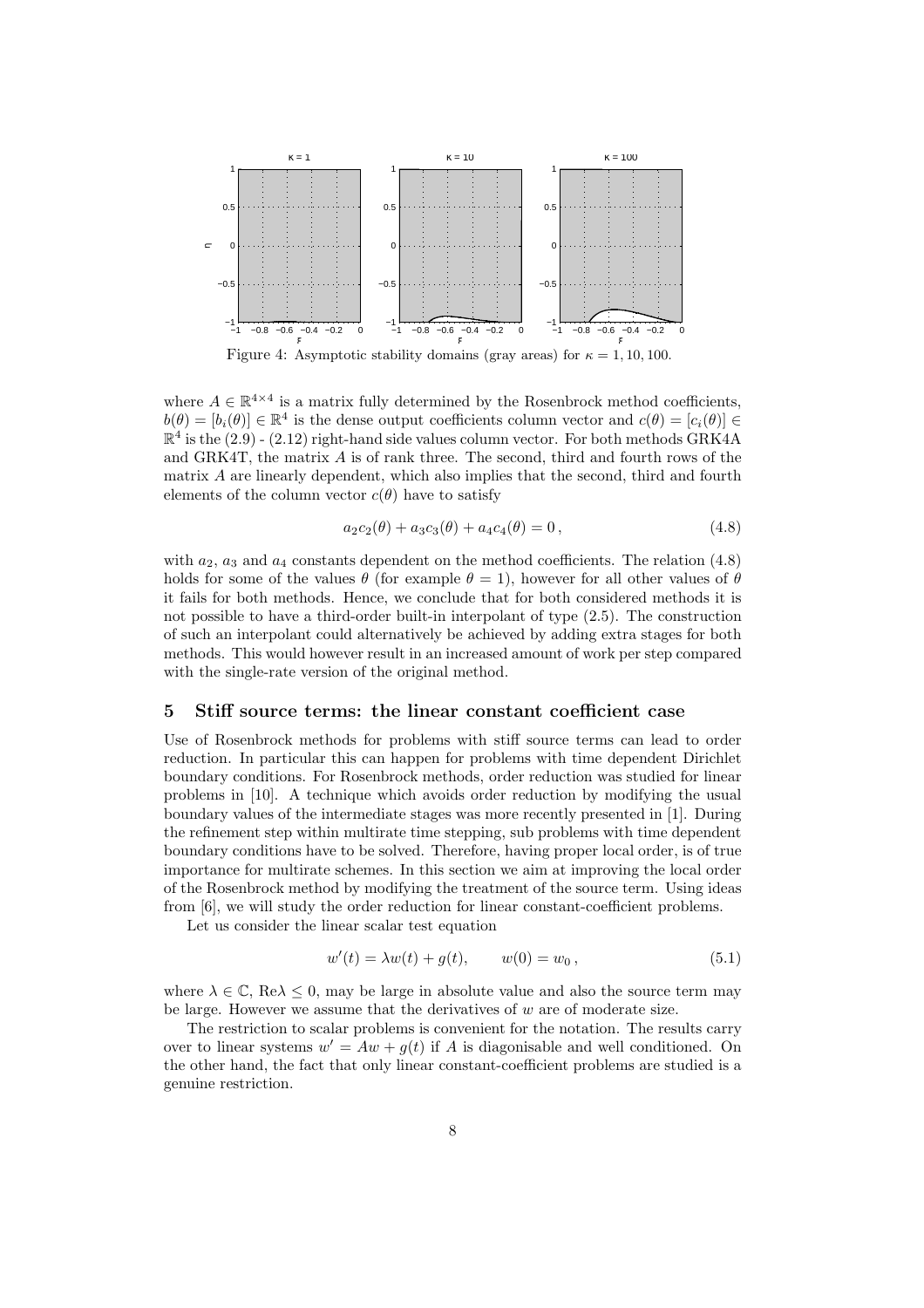

Figure 4: Asymptotic stability domains (gray areas) for  $\kappa = 1, 10, 100$ .

where  $A \in \mathbb{R}^{4 \times 4}$  is a matrix fully determined by the Rosenbrock method coefficients,  $b(\theta) = [b_i(\theta)] \in \mathbb{R}^4$  is the dense output coefficients column vector and  $c(\theta) = [c_i(\theta)] \in \mathbb{R}^4$  $\mathbb{R}^4$  is the  $(2.9)$  -  $(2.12)$  right-hand side values column vector. For both methods GRK4A and GRK4T, the matrix A is of rank three. The second, third and fourth rows of the matrix A are linearly dependent, which also implies that the second, third and fourth elements of the column vector  $c(\theta)$  have to satisfy

$$
a_2c_2(\theta) + a_3c_3(\theta) + a_4c_4(\theta) = 0,
$$
\n(4.8)

with  $a_2$ ,  $a_3$  and  $a_4$  constants dependent on the method coefficients. The relation (4.8) holds for some of the values  $\theta$  (for example  $\theta = 1$ ), however for all other values of  $\theta$ it fails for both methods. Hence, we conclude that for both considered methods it is not possible to have a third-order built-in interpolant of type (2.5). The construction of such an interpolant could alternatively be achieved by adding extra stages for both methods. This would however result in an increased amount of work per step compared with the single-rate version of the original method.

## 5 Stiff source terms: the linear constant coefficient case

Use of Rosenbrock methods for problems with stiff source terms can lead to order reduction. In particular this can happen for problems with time dependent Dirichlet boundary conditions. For Rosenbrock methods, order reduction was studied for linear problems in [10]. A technique which avoids order reduction by modifying the usual boundary values of the intermediate stages was more recently presented in [1]. During the refinement step within multirate time stepping, sub problems with time dependent boundary conditions have to be solved. Therefore, having proper local order, is of true importance for multirate schemes. In this section we aim at improving the local order of the Rosenbrock method by modifying the treatment of the source term. Using ideas from [6], we will study the order reduction for linear constant-coefficient problems.

Let us consider the linear scalar test equation

$$
w'(t) = \lambda w(t) + g(t), \qquad w(0) = w_0, \qquad (5.1)
$$

where  $\lambda \in \mathbb{C}$ , Re $\lambda \leq 0$ , may be large in absolute value and also the source term may be large. However we assume that the derivatives of  $w$  are of moderate size.

The restriction to scalar problems is convenient for the notation. The results carry over to linear systems  $w' = Aw + g(t)$  if A is diagonisable and well conditioned. On the other hand, the fact that only linear constant-coefficient problems are studied is a genuine restriction.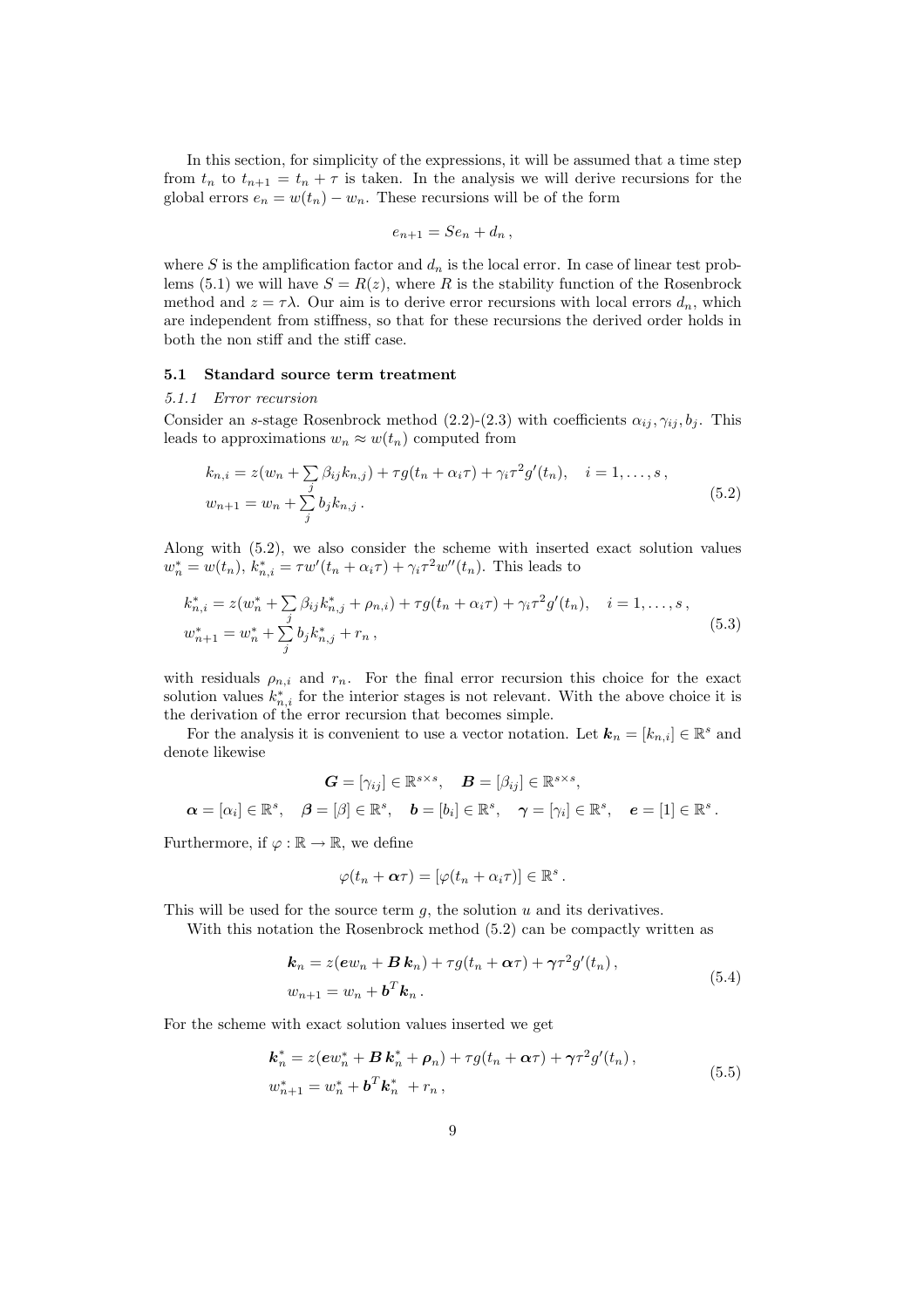In this section, for simplicity of the expressions, it will be assumed that a time step from  $t_n$  to  $t_{n+1} = t_n + \tau$  is taken. In the analysis we will derive recursions for the global errors  $e_n = w(t_n) - w_n$ . These recursions will be of the form

$$
e_{n+1} = S e_n + d_n \,,
$$

where S is the amplification factor and  $d_n$  is the local error. In case of linear test problems (5.1) we will have  $S = R(z)$ , where R is the stability function of the Rosenbrock method and  $z = \tau \lambda$ . Our aim is to derive error recursions with local errors  $d_n$ , which are independent from stiffness, so that for these recursions the derived order holds in both the non stiff and the stiff case.

#### 5.1 Standard source term treatment

#### 5.1.1 Error recursion

Consider an s-stage Rosenbrock method (2.2)-(2.3) with coefficients  $\alpha_{ij}$ ,  $\gamma_{ij}$ ,  $b_j$ . This leads to approximations  $w_n \approx w(t_n)$  computed from

$$
k_{n,i} = z(w_n + \sum_{j} \beta_{ij} k_{n,j}) + \tau g(t_n + \alpha_i \tau) + \gamma_i \tau^2 g'(t_n), \quad i = 1, ..., s,
$$
  

$$
w_{n+1} = w_n + \sum_{j} b_j k_{n,j}.
$$
 (5.2)

Along with (5.2), we also consider the scheme with inserted exact solution values  $w_n^* = w(t_n)$ ,  $k_{n,i}^* = \tau w'(t_n + \alpha_i \tau) + \gamma_i \tau^2 w''(t_n)$ . This leads to

$$
k_{n,i}^* = z(w_n^* + \sum_j \beta_{ij} k_{n,j}^* + \rho_{n,i}) + \tau g(t_n + \alpha_i \tau) + \gamma_i \tau^2 g'(t_n), \quad i = 1, ..., s,
$$
  

$$
w_{n+1}^* = w_n^* + \sum_j b_j k_{n,j}^* + r_n,
$$
\n(5.3)

with residuals  $\rho_{n,i}$  and  $r_n$ . For the final error recursion this choice for the exact solution values  $k_{n,i}^*$  for the interior stages is not relevant. With the above choice it is the derivation of the error recursion that becomes simple.

For the analysis it is convenient to use a vector notation. Let  $\mathbf{k}_n = [k_{n,i}] \in \mathbb{R}^s$  and denote likewise

$$
\mathbf{G} = [\gamma_{ij}] \in \mathbb{R}^{s \times s}, \quad \mathbf{B} = [\beta_{ij}] \in \mathbb{R}^{s \times s},
$$

$$
\mathbf{\alpha} = [\alpha_i] \in \mathbb{R}^s, \quad \mathbf{\beta} = [\beta] \in \mathbb{R}^s, \quad \mathbf{b} = [b_i] \in \mathbb{R}^s, \quad \mathbf{\gamma} = [\gamma_i] \in \mathbb{R}^s, \quad \mathbf{e} = [1] \in \mathbb{R}^s.
$$

Furthermore, if  $\varphi : \mathbb{R} \to \mathbb{R}$ , we define

$$
\varphi(t_n+\boldsymbol{\alpha}\tau)=[\varphi(t_n+\alpha_i\tau)]\in\mathbb{R}^s.
$$

This will be used for the source term  $q$ , the solution  $u$  and its derivatives.

With this notation the Rosenbrock method  $(5.2)$  can be compactly written as

$$
\mathbf{k}_n = z(\mathbf{e}w_n + \mathbf{B}\mathbf{k}_n) + \tau g(t_n + \alpha \tau) + \gamma \tau^2 g'(t_n),
$$
  
\n
$$
w_{n+1} = w_n + \mathbf{b}^T \mathbf{k}_n.
$$
\n(5.4)

For the scheme with exact solution values inserted we get

$$
\mathbf{k}_{n}^{*} = z(\mathbf{e}w_{n}^{*} + \mathbf{B}\mathbf{k}_{n}^{*} + \boldsymbol{\rho}_{n}) + \tau g(t_{n} + \alpha\tau) + \gamma\tau^{2}g'(t_{n}),
$$
  
\n
$$
w_{n+1}^{*} = w_{n}^{*} + \mathbf{b}^{T}\mathbf{k}_{n}^{*} + r_{n},
$$
\n(5.5)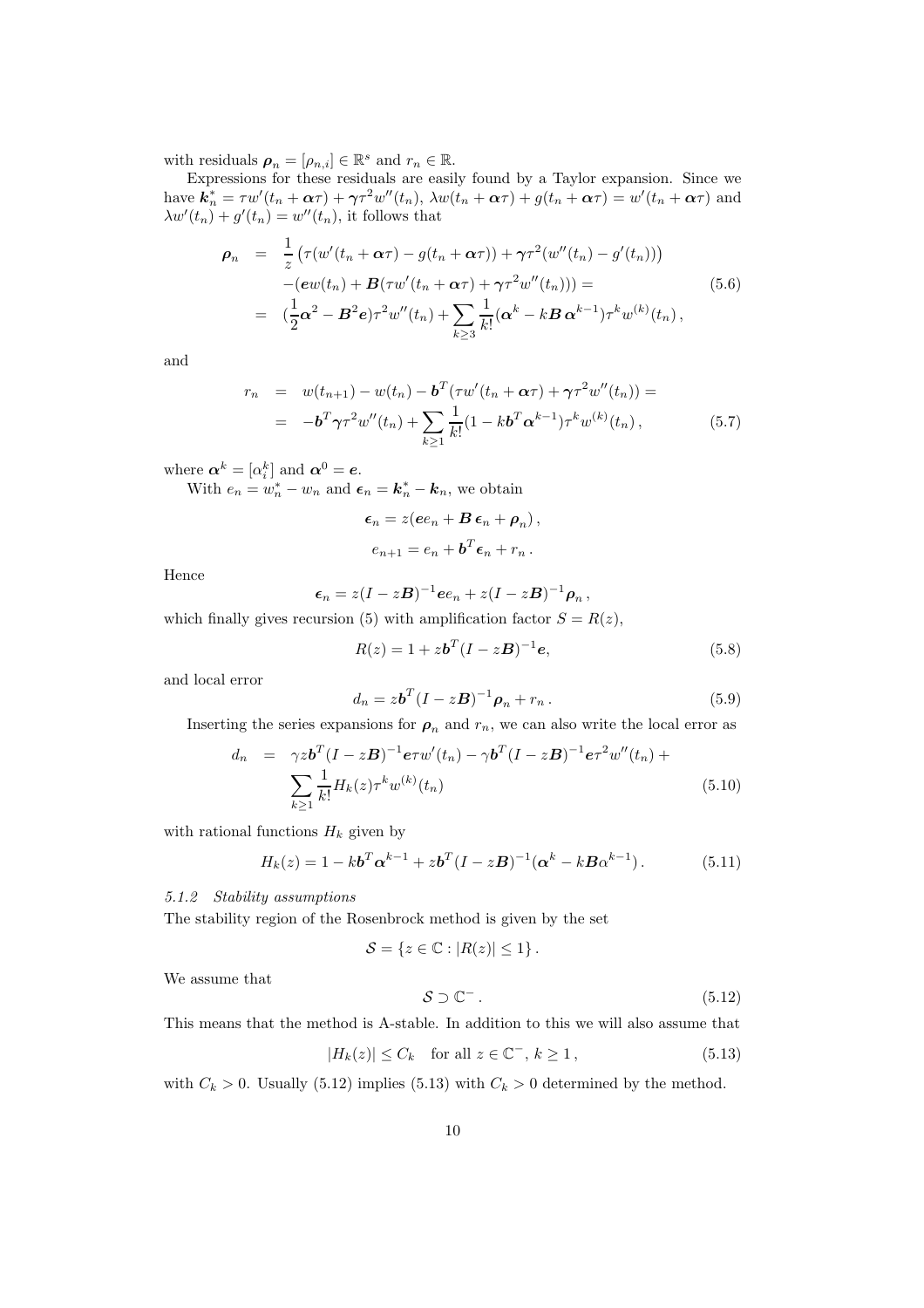with residuals  $p_n = [\rho_{n,i}] \in \mathbb{R}^s$  and  $r_n \in \mathbb{R}$ .

Expressions for these residuals are easily found by a Taylor expansion. Since we have  $\mathbf{k}_n^* = \tau w'(t_n + \alpha \tau) + \gamma \tau^2 w''(t_n), \ \lambda w(t_n + \alpha \tau) + g(t_n + \alpha \tau) = w'(t_n + \alpha \tau)$  and  $\lambda w'(t_n) + g'(t_n) = w''(t_n)$ , it follows that

$$
\rho_n = \frac{1}{z} \left( \tau (w'(t_n + \alpha \tau) - g(t_n + \alpha \tau)) + \gamma \tau^2 (w''(t_n) - g'(t_n)) \right) \n- (ew(t_n) + B(\tau w'(t_n + \alpha \tau) + \gamma \tau^2 w''(t_n))) = \n= (\frac{1}{2} \alpha^2 - B^2 e) \tau^2 w''(t_n) + \sum_{k \ge 3} \frac{1}{k!} (\alpha^k - k B \alpha^{k-1}) \tau^k w^{(k)}(t_n),
$$
\n(5.6)

and

$$
r_n = w(t_{n+1}) - w(t_n) - \mathbf{b}^T(\tau w'(t_n + \alpha \tau) + \gamma \tau^2 w''(t_n)) =
$$
  
= 
$$
-\mathbf{b}^T \gamma \tau^2 w''(t_n) + \sum_{k \geq 1} \frac{1}{k!} (1 - k \mathbf{b}^T \alpha^{k-1}) \tau^k w^{(k)}(t_n),
$$
 (5.7)

where  $\boldsymbol{\alpha}^k = [\alpha_i^k]$  and  $\boldsymbol{\alpha}^0 = \boldsymbol{e}$ .

With  $e_n = w_n^* - w_n$  and  $\boldsymbol{\epsilon}_n = \boldsymbol{k}_n^* - \boldsymbol{k}_n$ , we obtain

$$
\epsilon_n = z(ee_n + B \epsilon_n + \rho_n),
$$
  

$$
e_{n+1} = e_n + b^T \epsilon_n + r_n.
$$

Hence

$$
\epsilon_n = z(I - zB)^{-1}ee_n + z(I - zB)^{-1}\rho_n,
$$

which finally gives recursion (5) with amplification factor  $S = R(z)$ ,

$$
R(z) = 1 + zb^{T}(I - zB)^{-1}e,
$$
\n(5.8)

and local error

$$
d_n = z\boldsymbol{b}^T (I - z\boldsymbol{B})^{-1} \boldsymbol{\rho}_n + r_n. \tag{5.9}
$$

Inserting the series expansions for  $\rho_n$  and  $r_n$ , we can also write the local error as

$$
d_n = \gamma z \mathbf{b}^T (I - z\mathbf{B})^{-1} e \tau w'(t_n) - \gamma \mathbf{b}^T (I - z\mathbf{B})^{-1} e \tau^2 w''(t_n) +
$$
  

$$
\sum_{k \ge 1} \frac{1}{k!} H_k(z) \tau^k w^{(k)}(t_n)
$$
 (5.10)

with rational functions  $H_k$  given by

$$
H_k(z) = 1 - kb^T \alpha^{k-1} + zb^T (I - zB)^{-1} (\alpha^k - kB\alpha^{k-1}).
$$
 (5.11)

## 5.1.2 Stability assumptions

The stability region of the Rosenbrock method is given by the set

$$
\mathcal{S} = \{ z \in \mathbb{C} : |R(z)| \leq 1 \} .
$$

We assume that

$$
S \supset \mathbb{C}^- \,. \tag{5.12}
$$

This means that the method is A-stable. In addition to this we will also assume that

$$
|H_k(z)| \le C_k \quad \text{for all } z \in \mathbb{C}^-, \, k \ge 1 \,, \tag{5.13}
$$

with  $C_k > 0$ . Usually (5.12) implies (5.13) with  $C_k > 0$  determined by the method.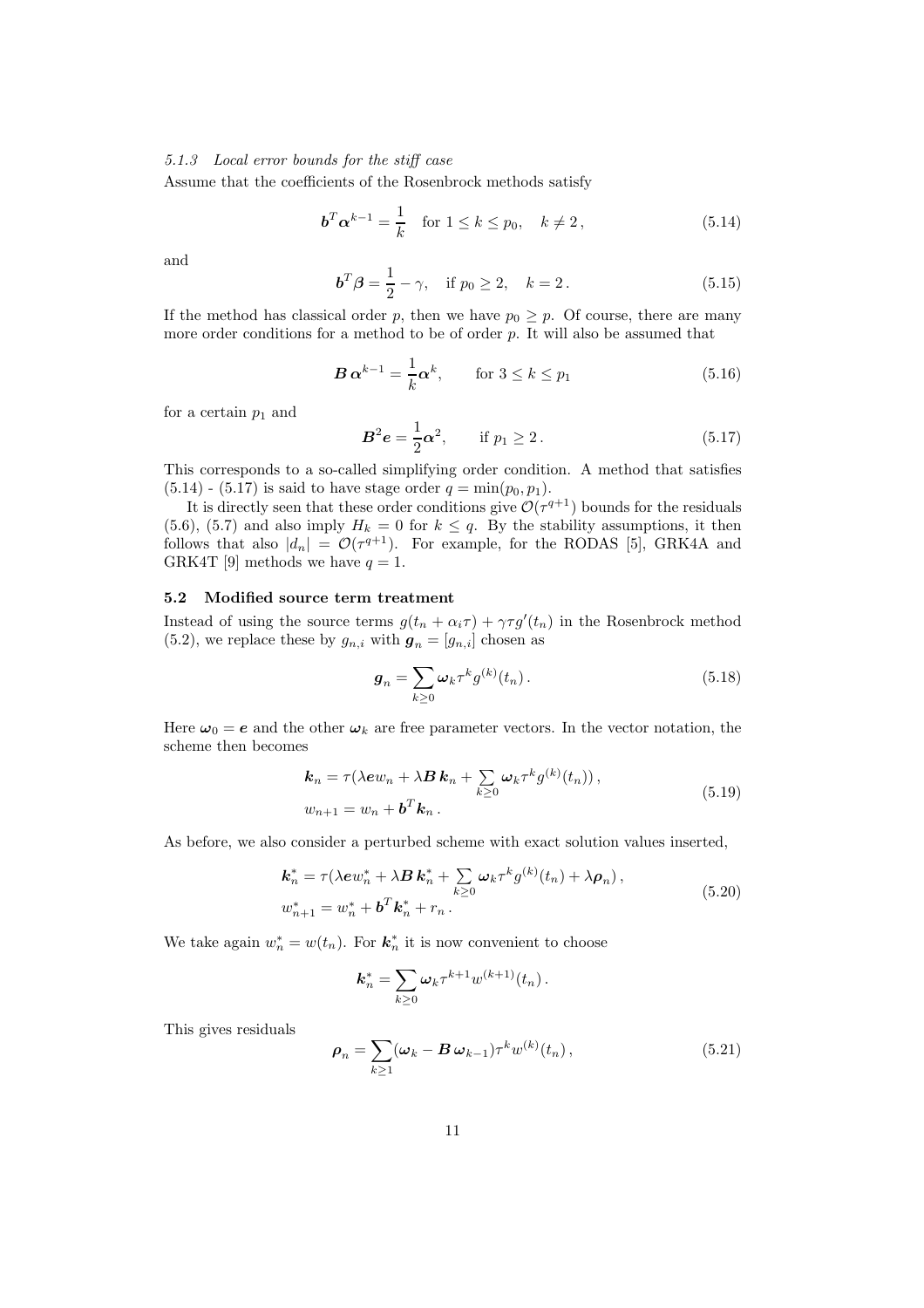## 5.1.3 Local error bounds for the stiff case

Assume that the coefficients of the Rosenbrock methods satisfy

$$
\mathbf{b}^T \mathbf{\alpha}^{k-1} = \frac{1}{k} \quad \text{for } 1 \le k \le p_0, \quad k \neq 2 \,, \tag{5.14}
$$

and

$$
\mathbf{b}^T \boldsymbol{\beta} = \frac{1}{2} - \gamma, \quad \text{if } p_0 \ge 2, \quad k = 2. \tag{5.15}
$$

If the method has classical order p, then we have  $p_0 \geq p$ . Of course, there are many more order conditions for a method to be of order  $p$ . It will also be assumed that

$$
\boldsymbol{B} \, \boldsymbol{\alpha}^{k-1} = \frac{1}{k} \boldsymbol{\alpha}^k, \qquad \text{for } 3 \le k \le p_1 \tag{5.16}
$$

for a certain  $p_1$  and

$$
B^2 e = \frac{1}{2} \alpha^2, \quad \text{if } p_1 \ge 2. \tag{5.17}
$$

This corresponds to a so-called simplifying order condition. A method that satisfies  $(5.14)$  -  $(5.17)$  is said to have stage order  $q = \min(p_0, p_1)$ .

It is directly seen that these order conditions give  $\mathcal{O}(\tau^{q+1})$  bounds for the residuals (5.6), (5.7) and also imply  $H_k = 0$  for  $k \leq q$ . By the stability assumptions, it then follows that also  $|d_n| = \mathcal{O}(\tau^{q+1})$ . For example, for the RODAS [5], GRK4A and GRK4T [9] methods we have  $q = 1$ .

## 5.2 Modified source term treatment

Instead of using the source terms  $g(t_n + \alpha_i \tau) + \gamma \tau g'(t_n)$  in the Rosenbrock method  $(5.2)$ , we replace these by  $g_{n,i}$  with  $g_n = [g_{n,i}]$  chosen as

$$
\mathbf{g}_n = \sum_{k \ge 0} \boldsymbol{\omega}_k \tau^k g^{(k)}(t_n). \tag{5.18}
$$

Here  $\omega_0 = e$  and the other  $\omega_k$  are free parameter vectors. In the vector notation, the scheme then becomes

$$
\mathbf{k}_n = \tau(\lambda e w_n + \lambda \mathbf{B} \, \mathbf{k}_n + \sum_{k \ge 0} \omega_k \tau^k g^{(k)}(t_n)),
$$
  

$$
w_{n+1} = w_n + \mathbf{b}^T \mathbf{k}_n.
$$
 (5.19)

As before, we also consider a perturbed scheme with exact solution values inserted,

$$
\mathbf{k}_{n}^{*} = \tau(\lambda e w_{n}^{*} + \lambda \mathbf{B} \mathbf{k}_{n}^{*} + \sum_{k \geq 0} \omega_{k} \tau^{k} g^{(k)}(t_{n}) + \lambda \rho_{n}),
$$
  
\n
$$
w_{n+1}^{*} = w_{n}^{*} + \mathbf{b}^{T} \mathbf{k}_{n}^{*} + r_{n}.
$$
\n(5.20)

We take again  $w_n^* = w(t_n)$ . For  $k_n^*$  it is now convenient to choose

$$
\mathbf{k}_n^* = \sum_{k\geq 0} \omega_k \tau^{k+1} w^{(k+1)}(t_n).
$$

This gives residuals

$$
\rho_n = \sum_{k \ge 1} (\omega_k - \mathbf{B} \,\omega_{k-1}) \tau^k w^{(k)}(t_n) \,, \tag{5.21}
$$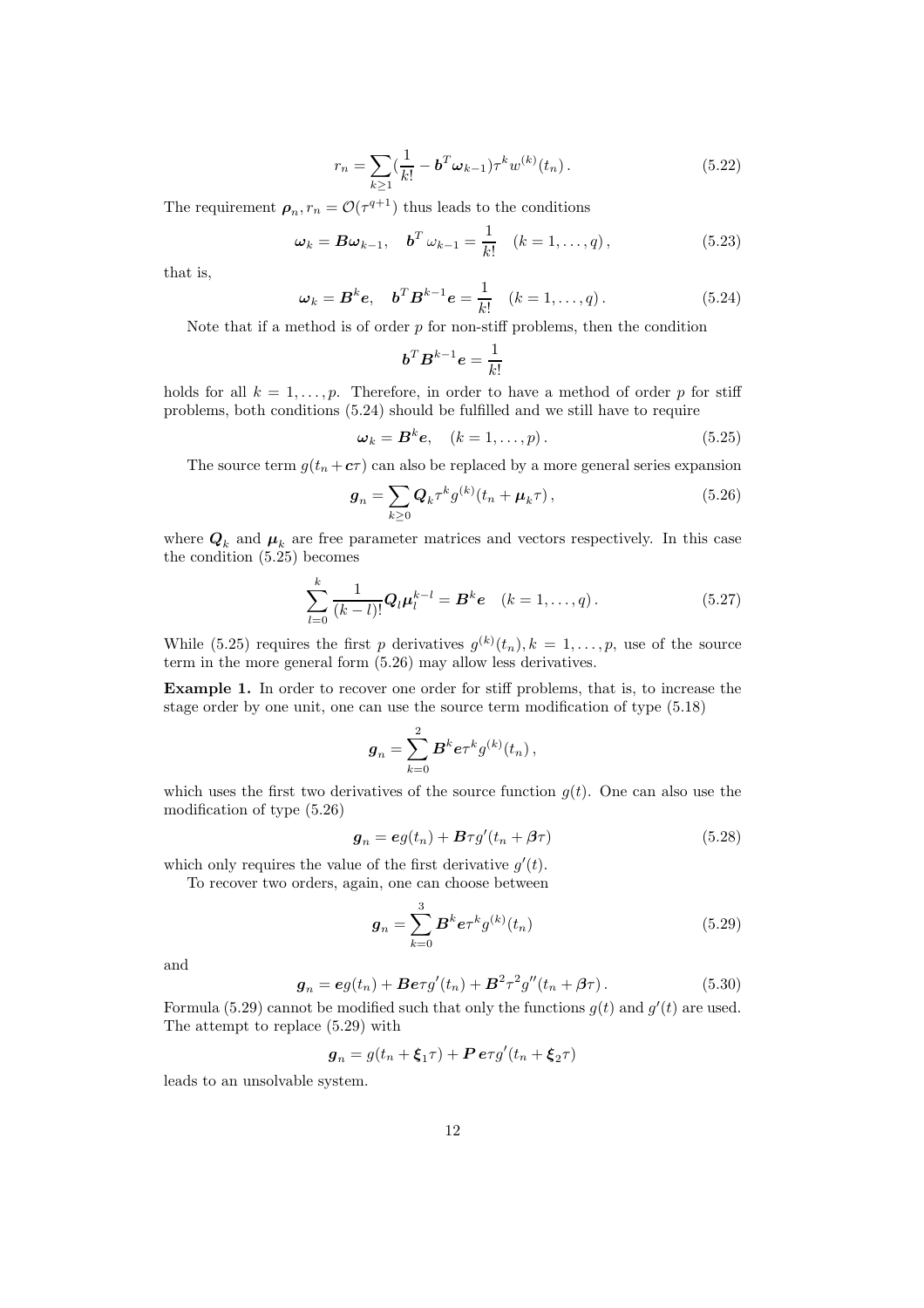$$
r_n = \sum_{k \ge 1} \left(\frac{1}{k!} - \mathbf{b}^T \boldsymbol{\omega}_{k-1}\right) \tau^k w^{(k)}(t_n). \tag{5.22}
$$

The requirement  $\rho_n$ ,  $r_n = \mathcal{O}(\tau^{q+1})$  thus leads to the conditions

$$
\omega_k = B\omega_{k-1}, \quad \mathbf{b}^T \omega_{k-1} = \frac{1}{k!} \quad (k = 1, \dots, q), \tag{5.23}
$$

that is,

$$
\boldsymbol{\omega}_k = \boldsymbol{B}^k \boldsymbol{e}, \quad \boldsymbol{b}^T \boldsymbol{B}^{k-1} \boldsymbol{e} = \frac{1}{k!} \quad (k = 1, \dots, q). \tag{5.24}
$$

Note that if a method is of order  $p$  for non-stiff problems, then the condition

$$
\boldsymbol{b}^T \boldsymbol{B}^{k-1} \boldsymbol{e} = \frac{1}{k!}
$$

holds for all  $k = 1, \ldots, p$ . Therefore, in order to have a method of order p for stiff problems, both conditions (5.24) should be fulfilled and we still have to require

$$
\boldsymbol{\omega}_k = \boldsymbol{B}^k \boldsymbol{e}, \quad (k = 1, \dots, p). \tag{5.25}
$$

The source term  $g(t_n + c\tau)$  can also be replaced by a more general series expansion

$$
\boldsymbol{g}_n = \sum_{k \ge 0} \boldsymbol{Q}_k \tau^k g^{(k)}(t_n + \boldsymbol{\mu}_k \tau), \qquad (5.26)
$$

where  $Q_k$  and  $\mu_k$  are free parameter matrices and vectors respectively. In this case the condition (5.25) becomes

$$
\sum_{l=0}^{k} \frac{1}{(k-l)!} Q_l \mu_l^{k-l} = B^k e \quad (k = 1, ..., q).
$$
 (5.27)

While (5.25) requires the first p derivatives  $g^{(k)}(t_n)$ ,  $k = 1, \ldots, p$ , use of the source term in the more general form (5.26) may allow less derivatives.

Example 1. In order to recover one order for stiff problems, that is, to increase the stage order by one unit, one can use the source term modification of type (5.18)

$$
{\bm g}_n = \sum_{k=0}^2 {\bm B}^k {\bm e} \tau^k g^{(k)}(t_n) \,,
$$

which uses the first two derivatives of the source function  $g(t)$ . One can also use the modification of type (5.26)

$$
\mathbf{g}_n = \mathbf{e}g(t_n) + \mathbf{B}\tau g'(t_n + \beta\tau) \tag{5.28}
$$

which only requires the value of the first derivative  $g'(t)$ .

To recover two orders, again, one can choose between

$$
\mathbf{g}_n = \sum_{k=0}^3 \mathbf{B}^k \mathbf{e} \tau^k g^{(k)}(t_n) \tag{5.29}
$$

and

$$
\boldsymbol{g}_n = \boldsymbol{e} g(t_n) + \boldsymbol{B} \boldsymbol{e} \tau g'(t_n) + \boldsymbol{B}^2 \tau^2 g''(t_n + \boldsymbol{\beta} \tau). \tag{5.30}
$$

Formula (5.29) cannot be modified such that only the functions  $g(t)$  and  $g'(t)$  are used. The attempt to replace (5.29) with

$$
\boldsymbol{g}_n = g(t_n + \boldsymbol{\xi}_1 \tau) + \boldsymbol{P} \, \boldsymbol{e} \tau g'(t_n + \boldsymbol{\xi}_2 \tau)
$$

leads to an unsolvable system.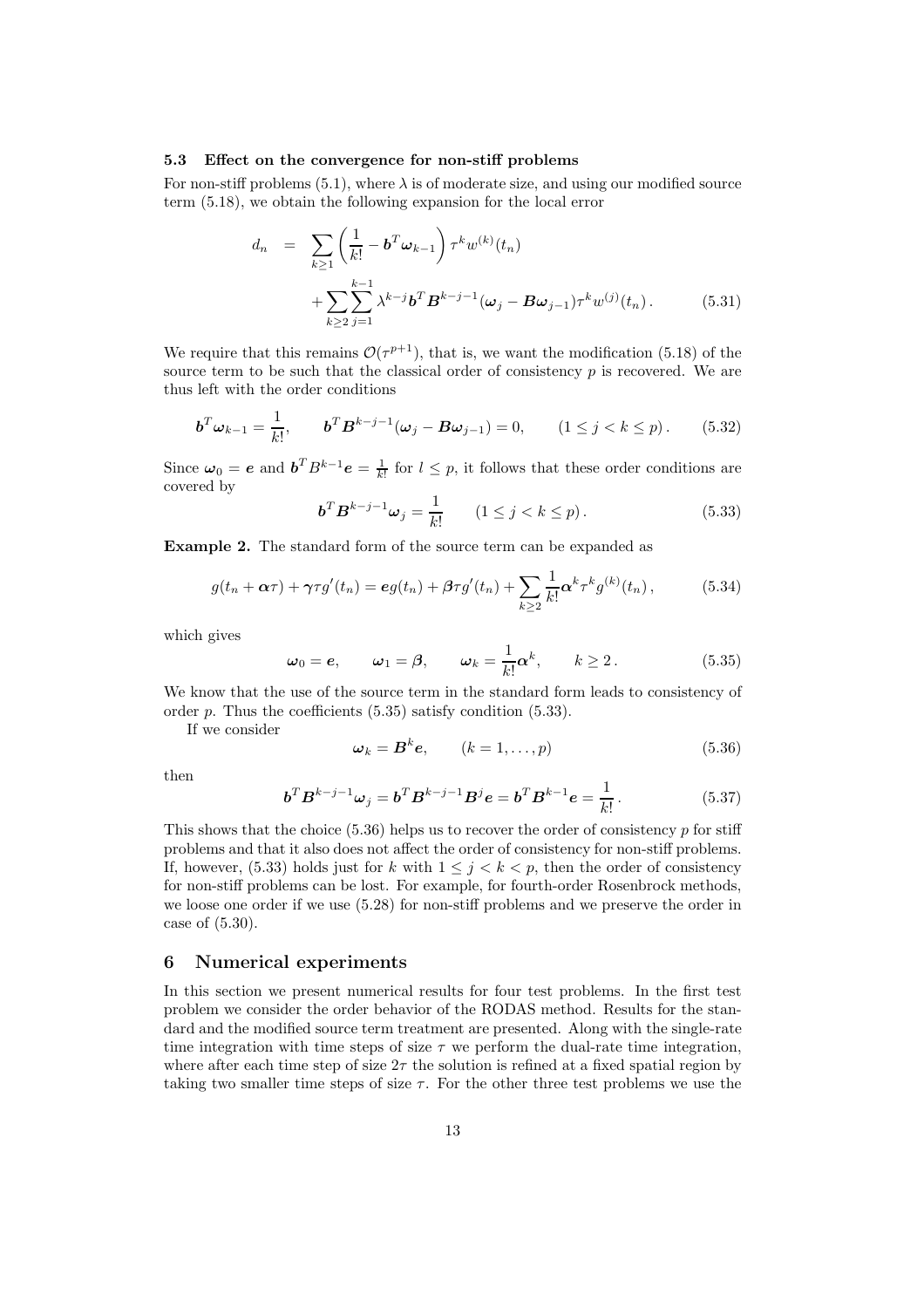#### 5.3 Effect on the convergence for non-stiff problems

For non-stiff problems (5.1), where  $\lambda$  is of moderate size, and using our modified source term (5.18), we obtain the following expansion for the local error

$$
d_n = \sum_{k \ge 1} \left( \frac{1}{k!} - \boldsymbol{b}^T \boldsymbol{\omega}_{k-1} \right) \tau^k w^{(k)}(t_n)
$$
  
+ 
$$
\sum_{k \ge 2} \sum_{j=1}^{k-1} \lambda^{k-j} \boldsymbol{b}^T \boldsymbol{B}^{k-j-1} (\boldsymbol{\omega}_j - \boldsymbol{B} \boldsymbol{\omega}_{j-1}) \tau^k w^{(j)}(t_n).
$$
 (5.31)

We require that this remains  $\mathcal{O}(\tau^{p+1})$ , that is, we want the modification (5.18) of the source term to be such that the classical order of consistency  $p$  is recovered. We are thus left with the order conditions

$$
\boldsymbol{b}^T \boldsymbol{\omega}_{k-1} = \frac{1}{k!}, \qquad \boldsymbol{b}^T \boldsymbol{B}^{k-j-1} (\boldsymbol{\omega}_j - \boldsymbol{B} \boldsymbol{\omega}_{j-1}) = 0, \qquad (1 \le j < k \le p). \tag{5.32}
$$

Since  $\omega_0 = e$  and  $\mathbf{b}^T B^{k-1} e = \frac{1}{k!}$  for  $l \leq p$ , it follows that these order conditions are covered by

$$
\boldsymbol{b}^T \boldsymbol{B}^{k-j-1} \boldsymbol{\omega}_j = \frac{1}{k!} \qquad (1 \le j < k \le p). \tag{5.33}
$$

Example 2. The standard form of the source term can be expanded as

$$
g(t_n + \alpha \tau) + \gamma \tau g'(t_n) = \mathbf{e}g(t_n) + \beta \tau g'(t_n) + \sum_{k \ge 2} \frac{1}{k!} \alpha^k \tau^k g^{(k)}(t_n), \qquad (5.34)
$$

which gives

$$
\omega_0 = e, \qquad \omega_1 = \beta, \qquad \omega_k = \frac{1}{k!} \alpha^k, \qquad k \ge 2.
$$
\n
$$
(5.35)
$$

We know that the use of the source term in the standard form leads to consistency of order  $p$ . Thus the coefficients  $(5.35)$  satisfy condition  $(5.33)$ .

If we consider

$$
\omega_k = \mathbf{B}^k \mathbf{e}, \qquad (k = 1, \dots, p) \tag{5.36}
$$

then

$$
\boldsymbol{b}^T \boldsymbol{B}^{k-j-1} \boldsymbol{\omega}_j = \boldsymbol{b}^T \boldsymbol{B}^{k-j-1} \boldsymbol{B}^j \boldsymbol{e} = \boldsymbol{b}^T \boldsymbol{B}^{k-1} \boldsymbol{e} = \frac{1}{k!}.
$$
 (5.37)

This shows that the choice  $(5.36)$  helps us to recover the order of consistency p for stiff problems and that it also does not affect the order of consistency for non-stiff problems. If, however, (5.33) holds just for k with  $1 \leq j \leq k \leq p$ , then the order of consistency for non-stiff problems can be lost. For example, for fourth-order Rosenbrock methods, we loose one order if we use (5.28) for non-stiff problems and we preserve the order in case of (5.30).

## 6 Numerical experiments

In this section we present numerical results for four test problems. In the first test problem we consider the order behavior of the RODAS method. Results for the standard and the modified source term treatment are presented. Along with the single-rate time integration with time steps of size  $\tau$  we perform the dual-rate time integration, where after each time step of size  $2\tau$  the solution is refined at a fixed spatial region by taking two smaller time steps of size  $\tau$ . For the other three test problems we use the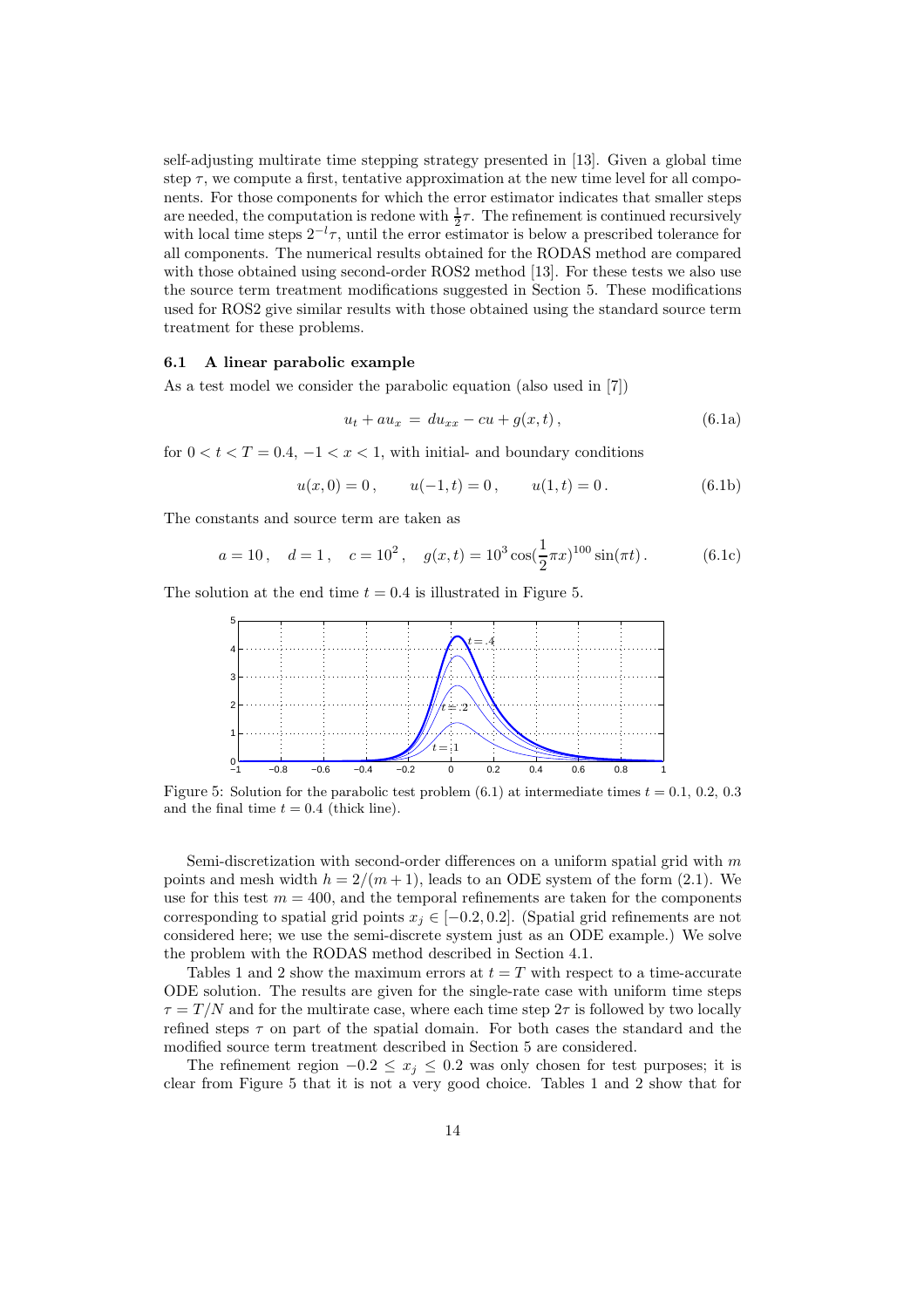self-adjusting multirate time stepping strategy presented in [13]. Given a global time step  $\tau$ , we compute a first, tentative approximation at the new time level for all components. For those components for which the error estimator indicates that smaller steps are needed, the computation is redone with  $\frac{1}{2}\tau$ . The refinement is continued recursively with local time steps  $2^{-l}\tau$ , until the error estimator is below a prescribed tolerance for all components. The numerical results obtained for the RODAS method are compared with those obtained using second-order ROS2 method [13]. For these tests we also use the source term treatment modifications suggested in Section 5. These modifications used for ROS2 give similar results with those obtained using the standard source term treatment for these problems.

#### 6.1 A linear parabolic example

As a test model we consider the parabolic equation (also used in [7])

$$
u_t + au_x = du_{xx} - cu + g(x, t), \t\t(6.1a)
$$

for  $0 < t < T = 0.4, -1 < x < 1$ , with initial- and boundary conditions

$$
u(x, 0) = 0
$$
,  $u(-1,t) = 0$ ,  $u(1,t) = 0$ . (6.1b)

The constants and source term are taken as

$$
a = 10
$$
,  $d = 1$ ,  $c = 10^2$ ,  $g(x, t) = 10^3 \cos(\frac{1}{2}\pi x)^{100} \sin(\pi t)$ . (6.1c)

The solution at the end time  $t = 0.4$  is illustrated in Figure 5.



Figure 5: Solution for the parabolic test problem (6.1) at intermediate times  $t = 0.1, 0.2, 0.3$ and the final time  $t = 0.4$  (thick line).

Semi-discretization with second-order differences on a uniform spatial grid with  $m$ points and mesh width  $h = 2/(m+1)$ , leads to an ODE system of the form (2.1). We use for this test  $m = 400$ , and the temporal refinements are taken for the components corresponding to spatial grid points  $x_j \in [-0.2, 0.2]$ . (Spatial grid refinements are not considered here; we use the semi-discrete system just as an ODE example.) We solve the problem with the RODAS method described in Section 4.1.

Tables 1 and 2 show the maximum errors at  $t = T$  with respect to a time-accurate ODE solution. The results are given for the single-rate case with uniform time steps  $\tau = T/N$  and for the multirate case, where each time step  $2\tau$  is followed by two locally refined steps  $\tau$  on part of the spatial domain. For both cases the standard and the modified source term treatment described in Section 5 are considered.

The refinement region  $-0.2 \le x_j \le 0.2$  was only chosen for test purposes; it is clear from Figure 5 that it is not a very good choice. Tables 1 and 2 show that for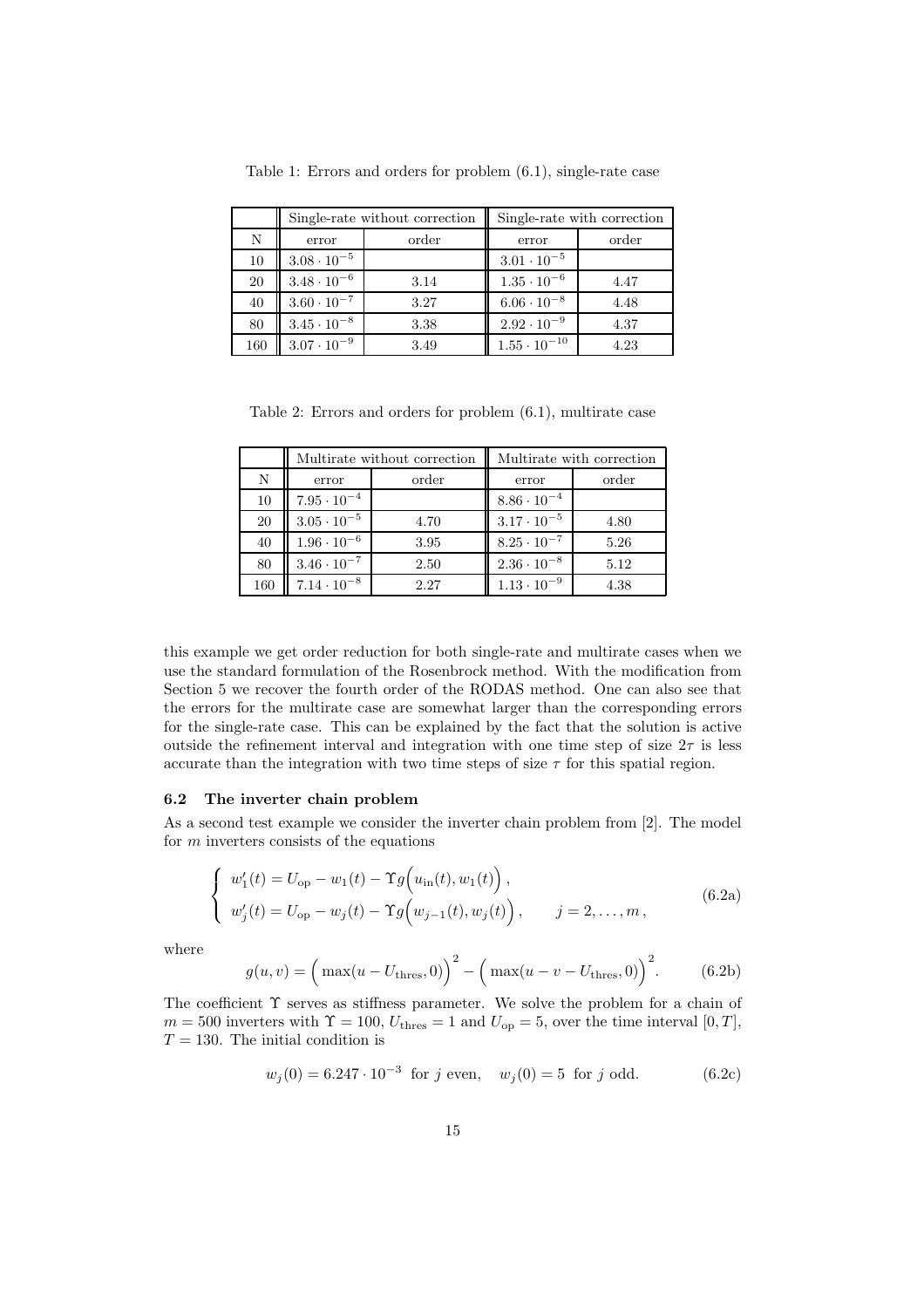|     |                      | Single-rate without correction | Single-rate with correction |       |  |
|-----|----------------------|--------------------------------|-----------------------------|-------|--|
| N   | order<br>error       |                                | error                       | order |  |
| 10  | $3.08\cdot10^{-5}$   |                                | $3.01 \cdot 10^{-5}$        |       |  |
| 20  | $3.48 \cdot 10^{-6}$ | 3.14                           | $1.35 \cdot 10^{-6}$        | 4.47  |  |
| 40  | $3.60 \cdot 10^{-7}$ | 3.27                           | $6.06 \cdot 10^{-8}$        | 4.48  |  |
| 80  | $3.45 \cdot 10^{-8}$ | 3.38                           | $2.92 \cdot 10^{-9}$        | 4.37  |  |
| 160 | $3.07 \cdot 10^{-9}$ | 3.49                           | $1.55 \cdot 10^{-10}$       | 4.23  |  |

Table 1: Errors and orders for problem (6.1), single-rate case

Table 2: Errors and orders for problem (6.1), multirate case

|     |                      | Multirate without correction | Multirate with correction |       |
|-----|----------------------|------------------------------|---------------------------|-------|
| N   | order<br>error       |                              | error                     | order |
| 10  | $7.95 \cdot 10^{-4}$ |                              | $8.86 \cdot 10^{-4}$      |       |
| 20  | $3.05 \cdot 10^{-5}$ | 4.70                         | $3.17 \cdot 10^{-5}$      | 4.80  |
| 40  | $1.96 \cdot 10^{-6}$ | 3.95                         | $8.25 \cdot 10^{-7}$      | 5.26  |
| 80  | $3.46 \cdot 10^{-7}$ | 2.50                         | $2.36 \cdot 10^{-8}$      | 5.12  |
| 160 | $7.14 \cdot 10^{-8}$ | 2.27                         | $1.13 \cdot 10^{-9}$      | 4.38  |

this example we get order reduction for both single-rate and multirate cases when we use the standard formulation of the Rosenbrock method. With the modification from Section 5 we recover the fourth order of the RODAS method. One can also see that the errors for the multirate case are somewhat larger than the corresponding errors for the single-rate case. This can be explained by the fact that the solution is active outside the refinement interval and integration with one time step of size  $2\tau$  is less accurate than the integration with two time steps of size  $\tau$  for this spatial region.

#### 6.2 The inverter chain problem

As a second test example we consider the inverter chain problem from [2]. The model for  $m$  inverters consists of the equations

$$
\begin{cases}\nw_1'(t) = U_{\text{op}} - w_1(t) - \Upsilon g(u_{\text{in}}(t), w_1(t)), \\
w_j'(t) = U_{\text{op}} - w_j(t) - \Upsilon g(w_{j-1}(t), w_j(t)), \qquad j = 2, ..., m,\n\end{cases}
$$
\n(6.2a)

where

$$
g(u, v) = \left(\max(u - U_{\text{thres}}, 0)\right)^2 - \left(\max(u - v - U_{\text{thres}}, 0)\right)^2.
$$
 (6.2b)

The coefficient  $\Upsilon$  serves as stiffness parameter. We solve the problem for a chain of  $m = 500$  inverters with  $\Upsilon = 100$ ,  $U_{\text{thres}} = 1$  and  $U_{\text{op}} = 5$ , over the time interval  $[0, T]$ ,  $T = 130$ . The initial condition is

$$
w_j(0) = 6.247 \cdot 10^{-3} \text{ for } j \text{ even}, \quad w_j(0) = 5 \text{ for } j \text{ odd.}
$$
 (6.2c)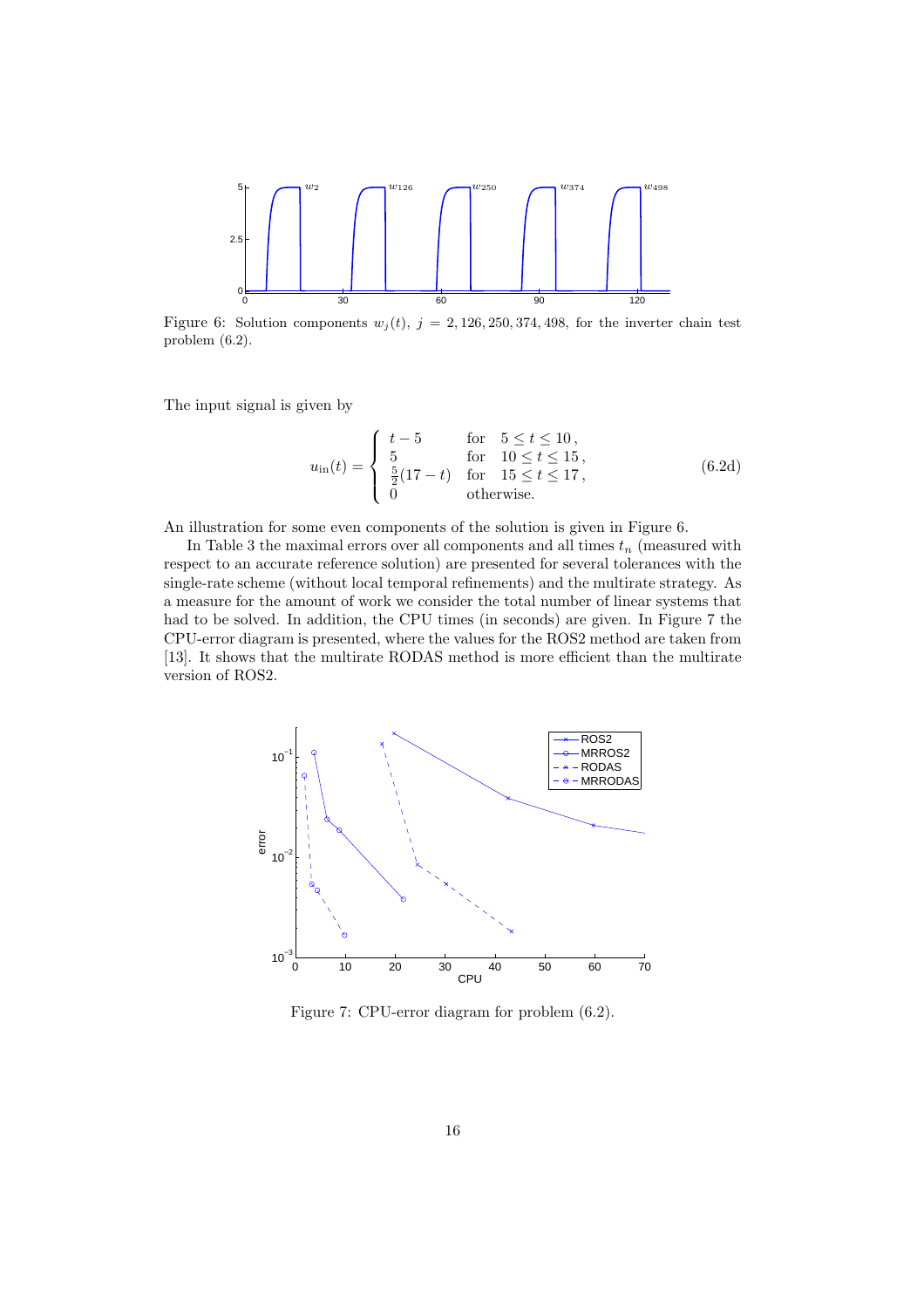

Figure 6: Solution components  $w_j(t)$ ,  $j = 2, 126, 250, 374, 498$ , for the inverter chain test problem (6.2).

The input signal is given by

$$
u_{\rm in}(t) = \begin{cases} \nt - 5 & \text{for } 5 \le t \le 10, \\ \n5 & \text{for } 10 \le t \le 15, \\ \n\frac{5}{2}(17 - t) & \text{for } 15 \le t \le 17, \\ \n0 & \text{otherwise.} \n\end{cases} \tag{6.2d}
$$

An illustration for some even components of the solution is given in Figure 6.

In Table 3 the maximal errors over all components and all times  $t_n$  (measured with respect to an accurate reference solution) are presented for several tolerances with the single-rate scheme (without local temporal refinements) and the multirate strategy. As a measure for the amount of work we consider the total number of linear systems that had to be solved. In addition, the CPU times (in seconds) are given. In Figure 7 the CPU-error diagram is presented, where the values for the ROS2 method are taken from [13]. It shows that the multirate RODAS method is more efficient than the multirate version of ROS2.



Figure 7: CPU-error diagram for problem (6.2).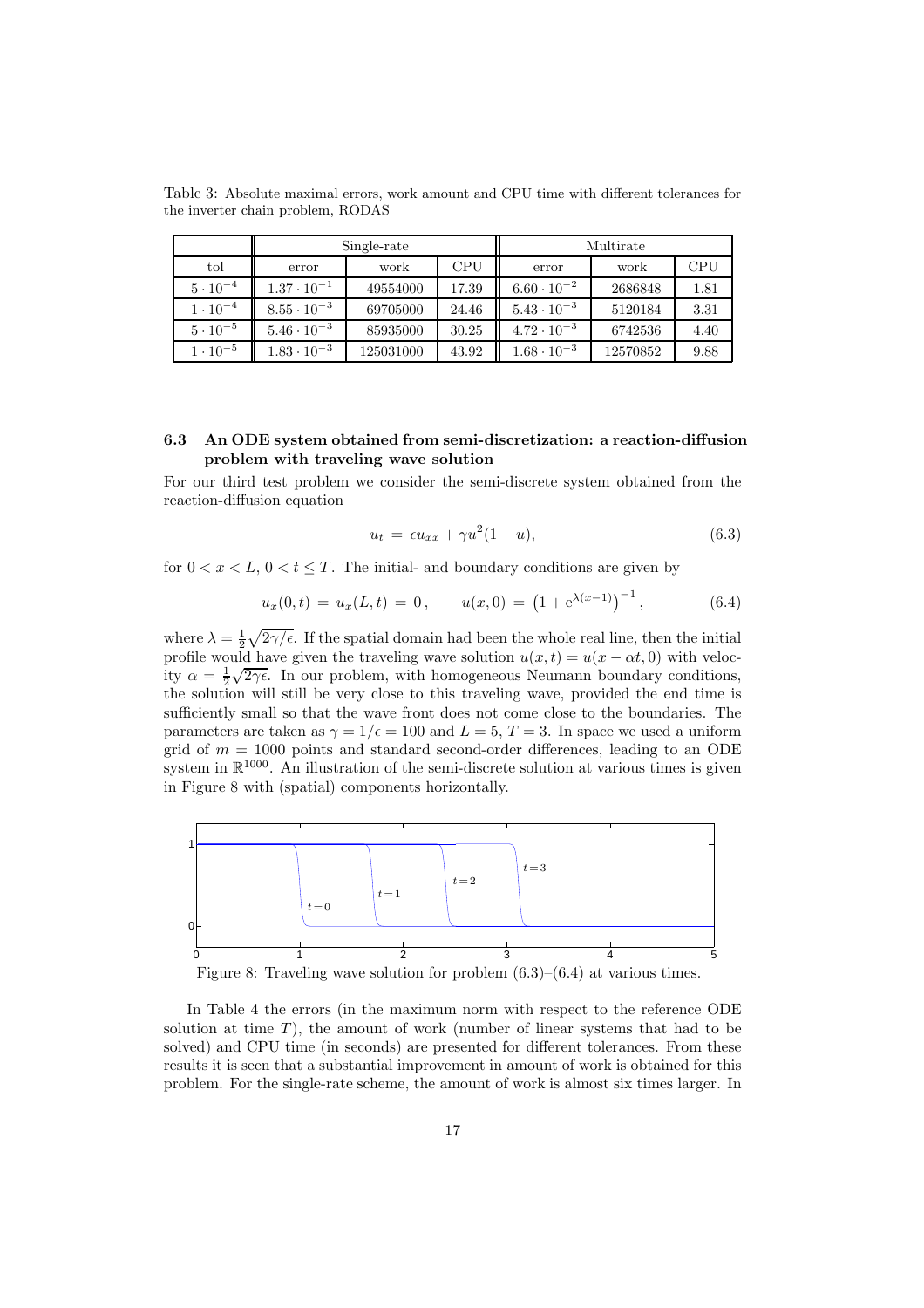Table 3: Absolute maximal errors, work amount and CPU time with different tolerances for the inverter chain problem, RODAS

|                   | Single-rate          |           |       | Multirate            |          |            |
|-------------------|----------------------|-----------|-------|----------------------|----------|------------|
| tol               | error                | work      | CPU   | error                | work     | <b>CPU</b> |
| $5 \cdot 10^{-4}$ | $1.37 \cdot 10^{-1}$ | 49554000  | 17.39 | $6.60 \cdot 10^{-2}$ | 2686848  | 1.81       |
| $1 \cdot 10^{-4}$ | $8.55 \cdot 10^{-3}$ | 69705000  | 24.46 | $5.43 \cdot 10^{-3}$ | 5120184  | 3.31       |
| $5 \cdot 10^{-5}$ | $5.46 \cdot 10^{-3}$ | 85935000  | 30.25 | $4.72 \cdot 10^{-3}$ | 6742536  | 4.40       |
| $1 \cdot 10^{-5}$ | $1.83 \cdot 10^{-3}$ | 125031000 | 43.92 | $1.68 \cdot 10^{-3}$ | 12570852 | 9.88       |

## 6.3 An ODE system obtained from semi-discretization: a reaction-diffusion problem with traveling wave solution

For our third test problem we consider the semi-discrete system obtained from the reaction-diffusion equation

$$
u_t = \epsilon u_{xx} + \gamma u^2 (1 - u), \tag{6.3}
$$

for  $0 < x < L$ ,  $0 < t \leq T$ . The initial- and boundary conditions are given by

$$
u_x(0,t) = u_x(L,t) = 0, \qquad u(x,0) = \left(1 + e^{\lambda(x-1)}\right)^{-1}, \tag{6.4}
$$

where  $\lambda = \frac{1}{2} \sqrt{2\gamma/\epsilon}$ . If the spatial domain had been the whole real line, then the initial profile would have given the traveling wave solution  $u(x, t) = u(x - \alpha t, 0)$  with velocity  $\alpha = \frac{1}{2}\sqrt{2\gamma\epsilon}$ . In our problem, with homogeneous Neumann boundary conditions, the solution will still be very close to this traveling wave, provided the end time is sufficiently small so that the wave front does not come close to the boundaries. The parameters are taken as  $\gamma = 1/\epsilon = 100$  and  $L = 5$ ,  $T = 3$ . In space we used a uniform grid of  $m = 1000$  points and standard second-order differences, leading to an ODE system in  $\mathbb{R}^{1000}$ . An illustration of the semi-discrete solution at various times is given in Figure 8 with (spatial) components horizontally.



Figure 8: Traveling wave solution for problem  $(6.3)$ – $(6.4)$  at various times.

In Table 4 the errors (in the maximum norm with respect to the reference ODE solution at time  $T$ ), the amount of work (number of linear systems that had to be solved) and CPU time (in seconds) are presented for different tolerances. From these results it is seen that a substantial improvement in amount of work is obtained for this problem. For the single-rate scheme, the amount of work is almost six times larger. In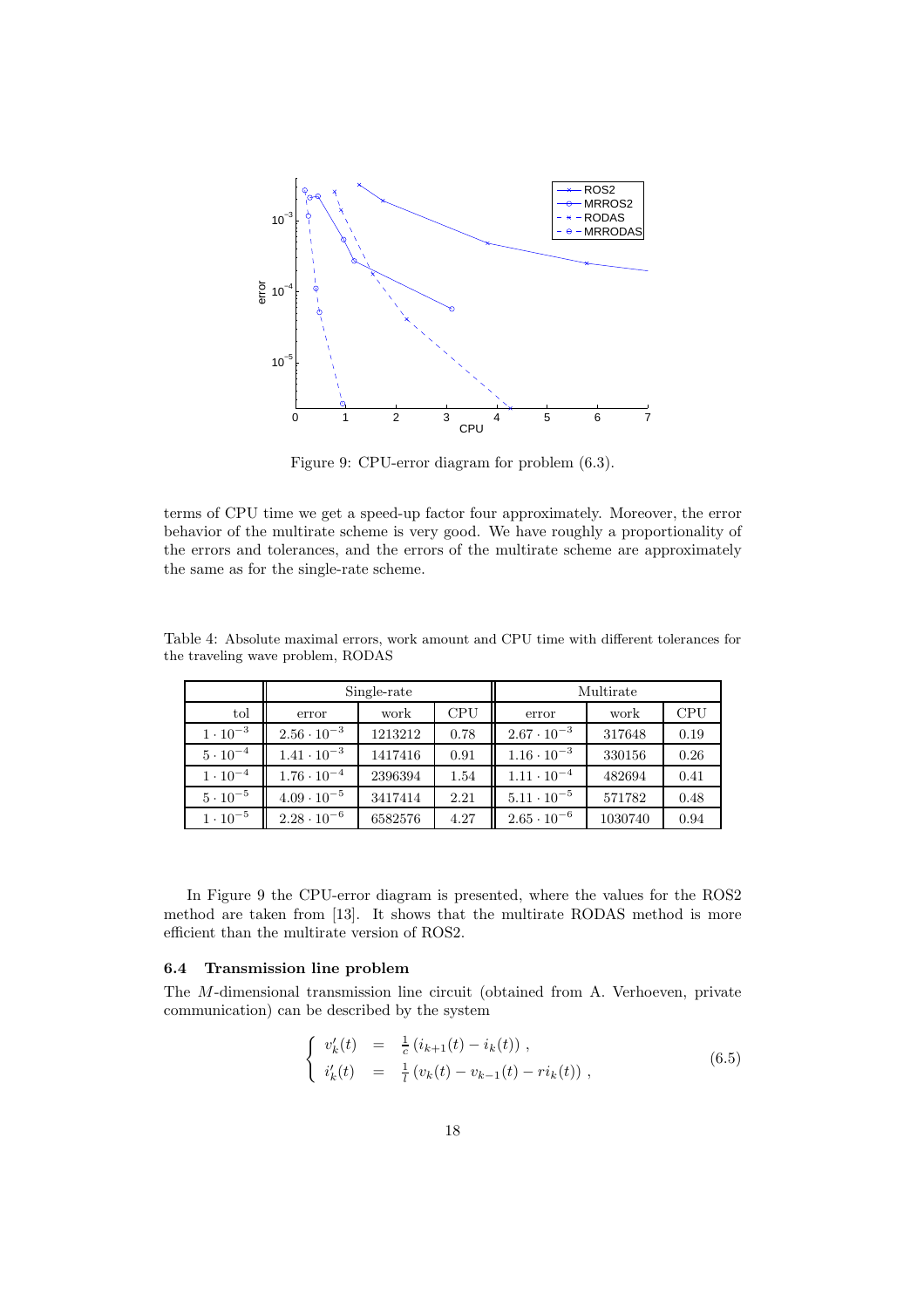

Figure 9: CPU-error diagram for problem (6.3).

terms of CPU time we get a speed-up factor four approximately. Moreover, the error behavior of the multirate scheme is very good. We have roughly a proportionality of the errors and tolerances, and the errors of the multirate scheme are approximately the same as for the single-rate scheme.

|                   | Single-rate          |         |            | Multirate            |         |            |
|-------------------|----------------------|---------|------------|----------------------|---------|------------|
| tol               | error                | work    | <b>CPU</b> | error                | work    | <b>CPU</b> |
| $1 \cdot 10^{-3}$ | $2.56 \cdot 10^{-3}$ | 1213212 | 0.78       | $2.67 \cdot 10^{-3}$ | 317648  | 0.19       |
| $5 \cdot 10^{-4}$ | $1.41 \cdot 10^{-3}$ | 1417416 | 0.91       | $1.16 \cdot 10^{-3}$ | 330156  | 0.26       |
| $1 \cdot 10^{-4}$ | $1.76 \cdot 10^{-4}$ | 2396394 | 1.54       | $1.11 \cdot 10^{-4}$ | 482694  | 0.41       |
| $5 \cdot 10^{-5}$ | $4.09 \cdot 10^{-5}$ | 3417414 | 2.21       | $5.11 \cdot 10^{-5}$ | 571782  | 0.48       |
| $1 \cdot 10^{-5}$ | $2.28 \cdot 10^{-6}$ | 6582576 | 4.27       | $2.65 \cdot 10^{-6}$ | 1030740 | 0.94       |

Table 4: Absolute maximal errors, work amount and CPU time with different tolerances for the traveling wave problem, RODAS

In Figure 9 the CPU-error diagram is presented, where the values for the ROS2 method are taken from [13]. It shows that the multirate RODAS method is more efficient than the multirate version of ROS2.

## 6.4 Transmission line problem

The M-dimensional transmission line circuit (obtained from A. Verhoeven, private communication) can be described by the system

$$
\begin{cases}\nv'_{k}(t) = \frac{1}{c} (i_{k+1}(t) - i_{k}(t)), \\
i'_{k}(t) = \frac{1}{l} (v_{k}(t) - v_{k-1}(t) - ri_{k}(t)),\n\end{cases} \tag{6.5}
$$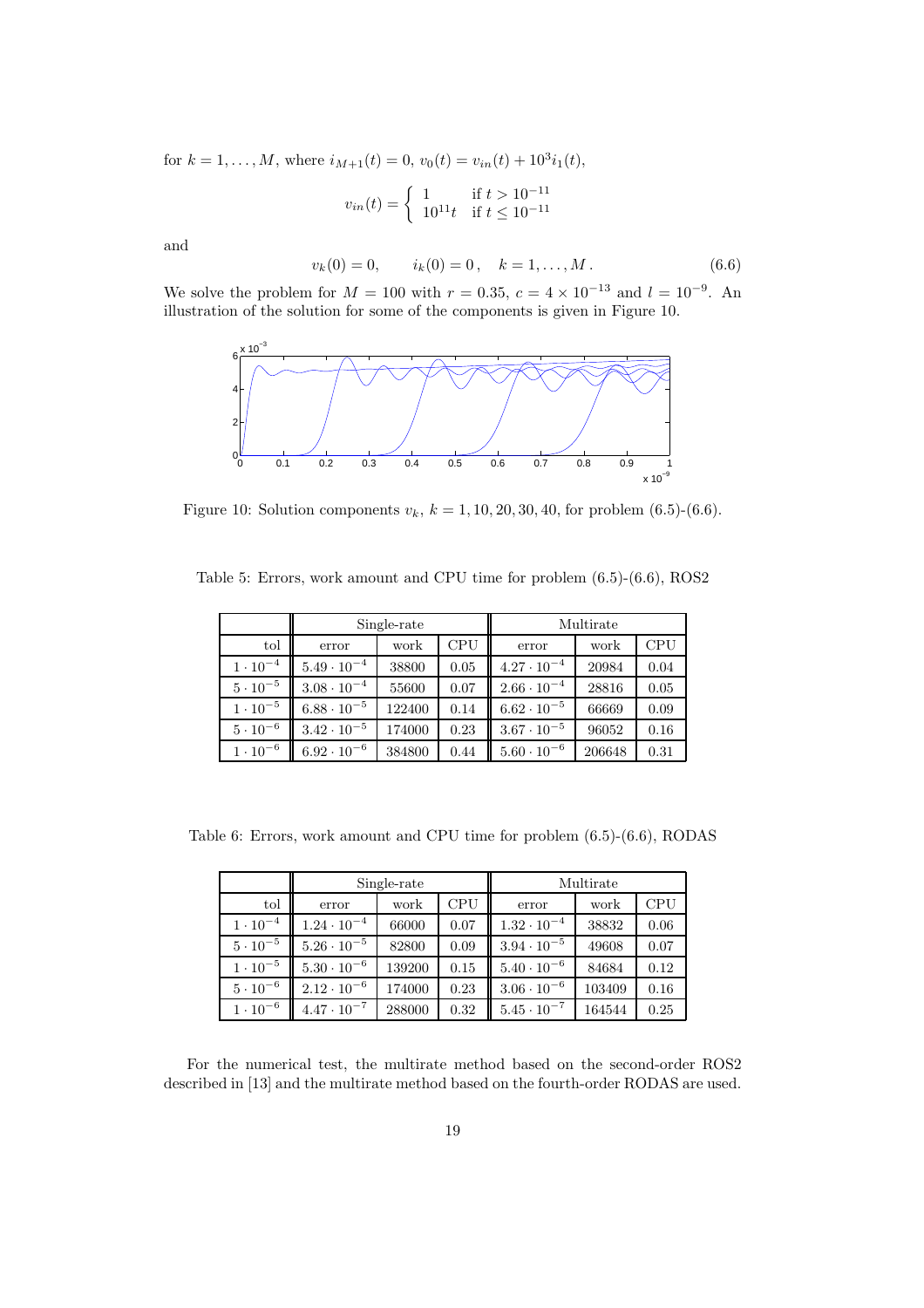for  $k = 1, ..., M$ , where  $i_{M+1}(t) = 0$ ,  $v_0(t) = v_{in}(t) + 10^3 i_1(t)$ ,

$$
v_{in}(t) = \begin{cases} 1 & \text{if } t > 10^{-11} \\ 10^{11}t & \text{if } t \le 10^{-11} \end{cases}
$$

and

$$
v_k(0) = 0, \t i_k(0) = 0, \t k = 1, ..., M.
$$
\t(6.6)

We solve the problem for  $M = 100$  with  $r = 0.35$ ,  $c = 4 \times 10^{-13}$  and  $l = 10^{-9}$ . An illustration of the solution for some of the components is given in Figure 10.



Figure 10: Solution components  $v_k$ ,  $k = 1, 10, 20, 30, 40$ , for problem (6.5)-(6.6).

Table 5: Errors, work amount and CPU time for problem (6.5)-(6.6), ROS2

|                   | Single-rate          |        | Multirate  |                      |        |            |
|-------------------|----------------------|--------|------------|----------------------|--------|------------|
| tol               | error                | work   | <b>CPU</b> | error                | work   | <b>CPU</b> |
| $1 \cdot 10^{-4}$ | $5.49 \cdot 10^{-4}$ | 38800  | 0.05       | $4.27 \cdot 10^{-4}$ | 20984  | 0.04       |
| $5 \cdot 10^{-5}$ | $3.08 \cdot 10^{-4}$ | 55600  | 0.07       | $2.66 \cdot 10^{-4}$ | 28816  | 0.05       |
| $1 \cdot 10^{-5}$ | $6.88 \cdot 10^{-5}$ | 122400 | 0.14       | $6.62 \cdot 10^{-5}$ | 66669  | 0.09       |
| $5 \cdot 10^{-6}$ | $3.42 \cdot 10^{-5}$ | 174000 | 0.23       | $3.67 \cdot 10^{-5}$ | 96052  | 0.16       |
| $1 \cdot 10^{-6}$ | $6.92 \cdot 10^{-6}$ | 384800 | 0.44       | $5.60 \cdot 10^{-6}$ | 206648 | 0.31       |

Table 6: Errors, work amount and CPU time for problem (6.5)-(6.6), RODAS

|                   | Single-rate          |        | Multirate  |                      |        |      |
|-------------------|----------------------|--------|------------|----------------------|--------|------|
| tol               | error                | work   | <b>CPU</b> | error                | work   | CPU  |
| $1 \cdot 10^{-4}$ | $1.24 \cdot 10^{-4}$ | 66000  | 0.07       | $1.32 \cdot 10^{-4}$ | 38832  | 0.06 |
| $5 \cdot 10^{-5}$ | $5.26 \cdot 10^{-5}$ | 82800  | 0.09       | $3.94 \cdot 10^{-5}$ | 49608  | 0.07 |
| $1 \cdot 10^{-5}$ | $5.30 \cdot 10^{-6}$ | 139200 | 0.15       | $5.40 \cdot 10^{-6}$ | 84684  | 0.12 |
| $5 \cdot 10^{-6}$ | $2.12 \cdot 10^{-6}$ | 174000 | 0.23       | $3.06 \cdot 10^{-6}$ | 103409 | 0.16 |
| $1 \cdot 10^{-6}$ | $4.47 \cdot 10^{-7}$ | 288000 | 0.32       | $5.45 \cdot 10^{-7}$ | 164544 | 0.25 |

For the numerical test, the multirate method based on the second-order ROS2 described in [13] and the multirate method based on the fourth-order RODAS are used.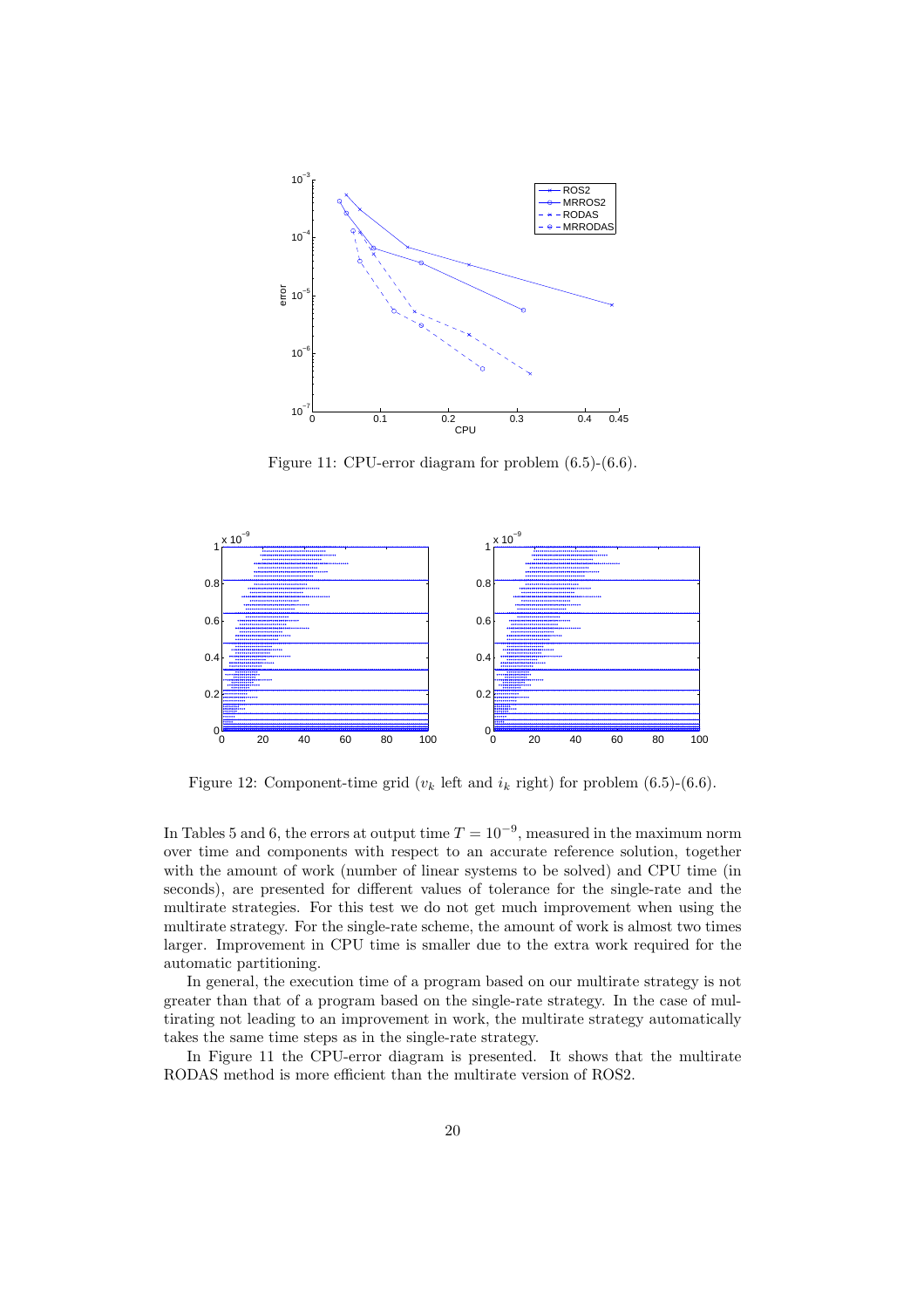

Figure 11: CPU-error diagram for problem (6.5)-(6.6).



Figure 12: Component-time grid  $(v_k)$  left and  $i_k$  right) for problem (6.5)-(6.6).

In Tables 5 and 6, the errors at output time  $T = 10^{-9}$ , measured in the maximum norm over time and components with respect to an accurate reference solution, together with the amount of work (number of linear systems to be solved) and CPU time (in seconds), are presented for different values of tolerance for the single-rate and the multirate strategies. For this test we do not get much improvement when using the multirate strategy. For the single-rate scheme, the amount of work is almost two times larger. Improvement in CPU time is smaller due to the extra work required for the automatic partitioning.

In general, the execution time of a program based on our multirate strategy is not greater than that of a program based on the single-rate strategy. In the case of multirating not leading to an improvement in work, the multirate strategy automatically takes the same time steps as in the single-rate strategy.

In Figure 11 the CPU-error diagram is presented. It shows that the multirate RODAS method is more efficient than the multirate version of ROS2.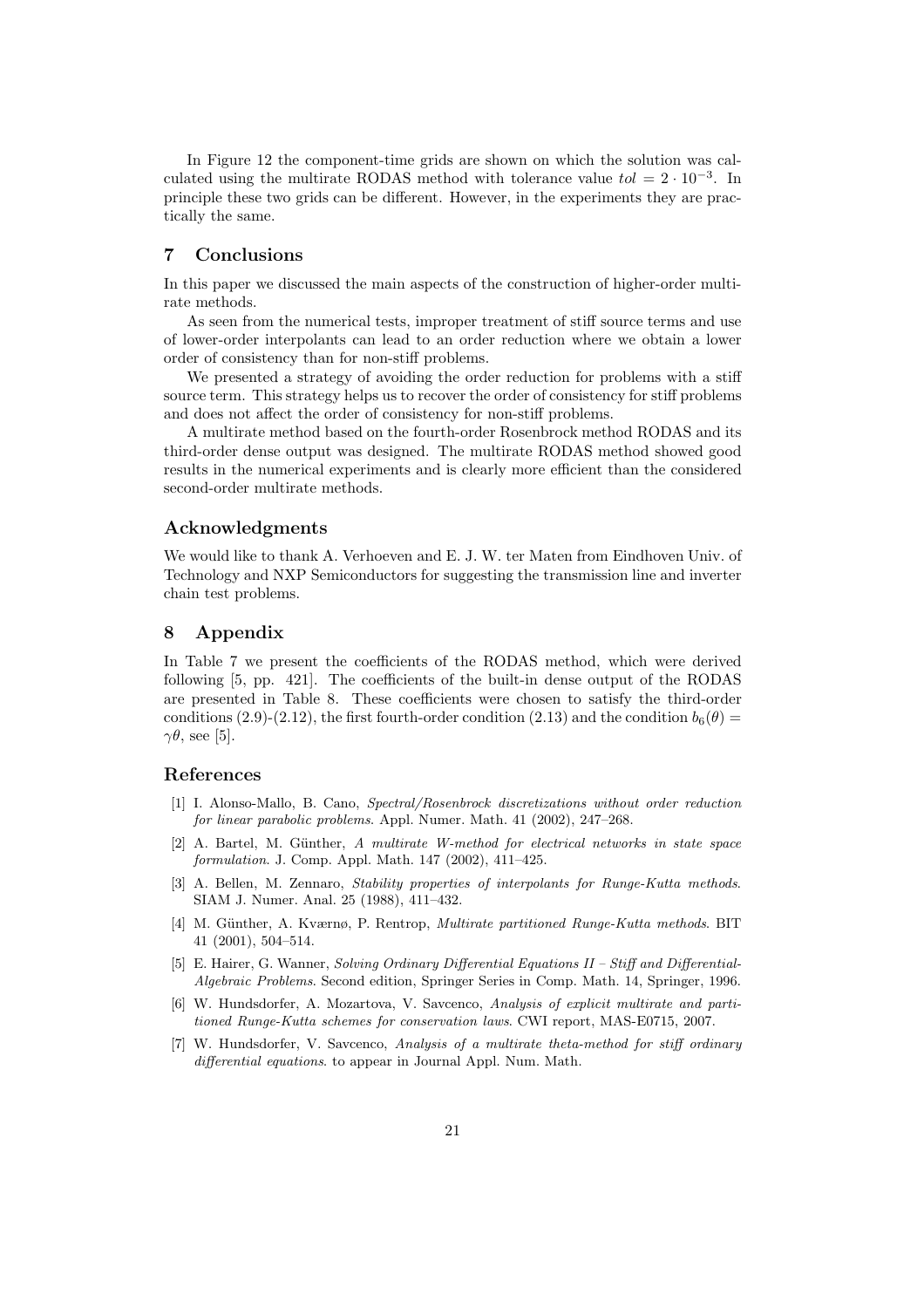In Figure 12 the component-time grids are shown on which the solution was calculated using the multirate RODAS method with tolerance value  $tol = 2 \cdot 10^{-3}$ . In principle these two grids can be different. However, in the experiments they are practically the same.

## 7 Conclusions

In this paper we discussed the main aspects of the construction of higher-order multirate methods.

As seen from the numerical tests, improper treatment of stiff source terms and use of lower-order interpolants can lead to an order reduction where we obtain a lower order of consistency than for non-stiff problems.

We presented a strategy of avoiding the order reduction for problems with a stiff source term. This strategy helps us to recover the order of consistency for stiff problems and does not affect the order of consistency for non-stiff problems.

A multirate method based on the fourth-order Rosenbrock method RODAS and its third-order dense output was designed. The multirate RODAS method showed good results in the numerical experiments and is clearly more efficient than the considered second-order multirate methods.

## Acknowledgments

We would like to thank A. Verhoeven and E. J. W. ter Maten from Eindhoven Univ. of Technology and NXP Semiconductors for suggesting the transmission line and inverter chain test problems.

## 8 Appendix

In Table 7 we present the coefficients of the RODAS method, which were derived following [5, pp. 421]. The coefficients of the built-in dense output of the RODAS are presented in Table 8. These coefficients were chosen to satisfy the third-order conditions (2.9)-(2.12), the first fourth-order condition (2.13) and the condition  $b_6(\theta)$  =  $\gamma\theta$ , see [5].

## References

- [1] I. Alonso-Mallo, B. Cano, Spectral/Rosenbrock discretizations without order reduction for linear parabolic problems. Appl. Numer. Math. 41 (2002), 247–268.
- [2] A. Bartel, M. Günther, A multirate W-method for electrical networks in state space formulation. J. Comp. Appl. Math. 147 (2002), 411–425.
- [3] A. Bellen, M. Zennaro, Stability properties of interpolants for Runge-Kutta methods. SIAM J. Numer. Anal. 25 (1988), 411–432.
- [4] M. Günther, A. Kværnø, P. Rentrop, *Multirate partitioned Runge-Kutta methods*. BIT 41 (2001), 504–514.
- [5] E. Hairer, G. Wanner, Solving Ordinary Differential Equations II Stiff and Differential-Algebraic Problems. Second edition, Springer Series in Comp. Math. 14, Springer, 1996.
- [6] W. Hundsdorfer, A. Mozartova, V. Savcenco, Analysis of explicit multirate and partitioned Runge-Kutta schemes for conservation laws. CWI report, MAS-E0715, 2007.
- [7] W. Hundsdorfer, V. Savcenco, Analysis of a multirate theta-method for stiff ordinary differential equations. to appear in Journal Appl. Num. Math.